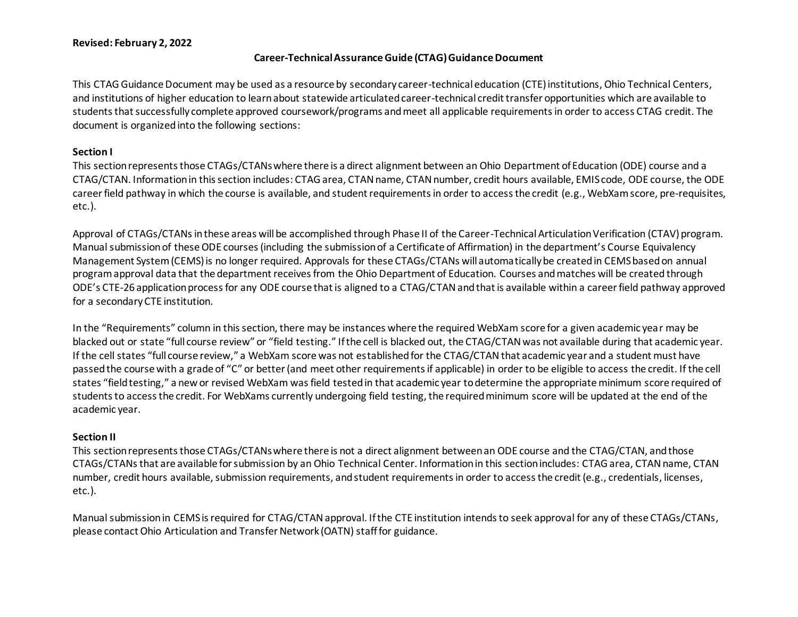## **Revised: February 2, 2022**

## **Career-Technical Assurance Guide (CTAG) Guidance Document**

This CTAG Guidance Document may be used as a resource by secondary career-technical education (CTE) institutions, Ohio Technical Centers, and institutions of higher education to learn about statewide articulated career-technical credit transfer opportunities which are available to students that successfully complete approved coursework/programs and meet all applicable requirements in order to access CTAG credit. The document is organized into the following sections:

## **Section I**

This section represents those CTAGs/CTANs where there is a direct alignment between an Ohio Department of Education (ODE) course and a CTAG/CTAN. Information in this section includes: CTAG area, CTAN name, CTAN number, credit hours available, EMIS code, ODE course, the ODE career field pathway in which the course is available, and student requirements in order to access the credit (e.g., WebXam score, pre-requisites, etc.).

Approval of CTAGs/CTANs in these areas will be accomplished through Phase II of the Career-Technical Articulation Verification (CTAV) program. Manual submission of these ODE courses (including the submission of a Certificate of Affirmation) in the department's Course Equivalency Management System (CEMS) is no longer required. Approvals for these CTAGs/CTANs will automatically be created in CEMS based on annual program approval data that the department receivesfrom the Ohio Department of Education. Courses and matches will be created through ODE's CTE-26 application process for any ODE course that is aligned to a CTAG/CTANandthat is available within a career field pathway approved for a secondary CTE institution.

In the "Requirements" column in this section, there may be instances where the required WebXam score for a given academic year may be blacked out or state "full course review" or "field testing." If the cell is blacked out, the CTAG/CTAN was not available during that academic year. If the cell states "full course review," a WebXam score was not established for the CTAG/CTAN that academic year and a student must have passed the course with a grade of "C" or better (and meet other requirements if applicable) in order to be eligible to access the credit. If the cell states "field testing," a new or revised WebXam was field tested in that academic year to determine the appropriate minimum score required of students to access the credit. For WebXams currently undergoing field testing, the required minimum score will be updated at the end of the academic year.

## **Section II**

This section represents those CTAGs/CTANs where there is not a direct alignment between an ODE course and the CTAG/CTAN, and those CTAGs/CTANs that are available for submission by an Ohio Technical Center. Information in this section includes: CTAG area, CTAN name, CTAN number, credit hours available, submission requirements, and student requirements in order to access the credit (e.g., credentials, licenses, etc.).

Manual submission in CEMS is required for CTAG/CTAN approval. If the CTE institution intends to seek approval for any of these CTAGs/CTANs, please contact Ohio Articulation and Transfer Network (OATN) staff for guidance.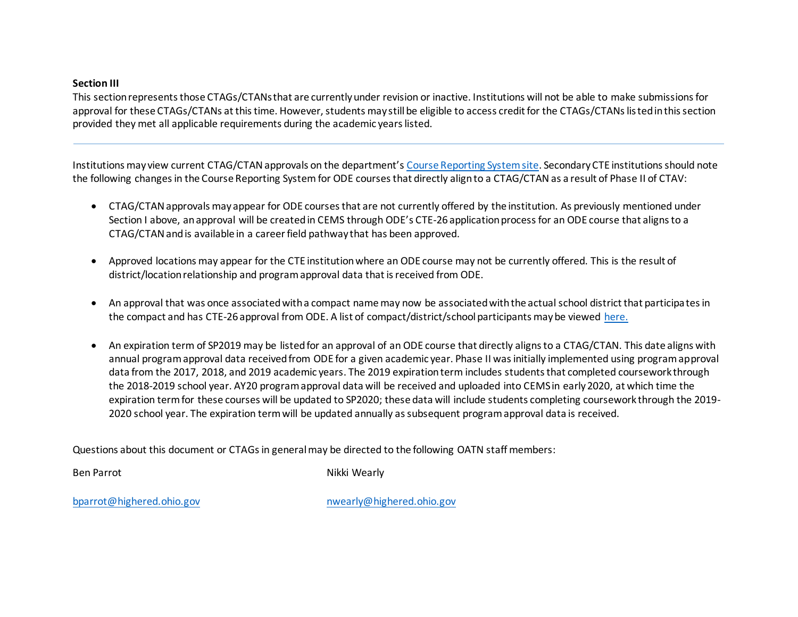#### **Section III**

This section represents those CTAGs/CTANs that are currently under revision or inactive. Institutions will not be able to make submissionsfor approval for these CTAGs/CTANs at this time. However, students may still be eligible to access credit for the CTAGs/CTANs listed in this section provided they met all applicable requirements during the academic years listed.

Institutions may view current CTAG/CTAN approvals on the department's [Course Reporting System site.](https://reports-cems.transfercredit.ohio.gov/pg_1?:::::) Secondary CTE institutions should note the following changes in the Course Reporting System for ODE courses that directly align to a CTAG/CTAN as a result of Phase II of CTAV:

- CTAG/CTAN approvals may appear for ODE courses that are not currently offered by the institution. As previously mentioned under Section I above, an approval will be created in CEMS through ODE's CTE-26 application process for an ODE course that aligns to a CTAG/CTAN and is available in a career field pathway that has been approved.
- Approved locations may appear for the CTE institution where an ODE course may not be currently offered. This is the result of district/location relationship and program approval data that is received from ODE.
- An approval that was once associated with a compact name may now be associated with the actual school district that participates in the compact and has CTE-26 approval from ODE. A list of compact/district/school participants may be viewed [here.](https://www.ohiohighered.org/sites/ohiohighered.org/files/uploads/transfer/CT2/Compacts%20Name%20Crossover.pdf)
- An expiration term of SP2019 may be listed for an approval of an ODE course that directly aligns to a CTAG/CTAN. This date aligns with annual program approval data received from ODE for a given academic year. Phase II was initially implemented using program approval data from the 2017, 2018, and 2019 academic years. The 2019 expiration term includes students that completed coursework through the 2018-2019 school year. AY20 program approval data will be received and uploaded into CEMS in early 2020, at which time the expiration term for these courses will be updated to SP2020; these data will include students completing coursework through the 2019- 2020 school year. The expiration term will be updated annually as subsequent program approval data is received.

Questions about this document or CTAGs in general may be directed to the following OATN staffmembers:

Ben Parrot Nikki Wearly

[bparrot@highered.ohio.gov](mailto:bparrot@highered.ohio.gov) [nwearly@highered.ohio.gov](mailto:nwearly@highered.ohio.gov)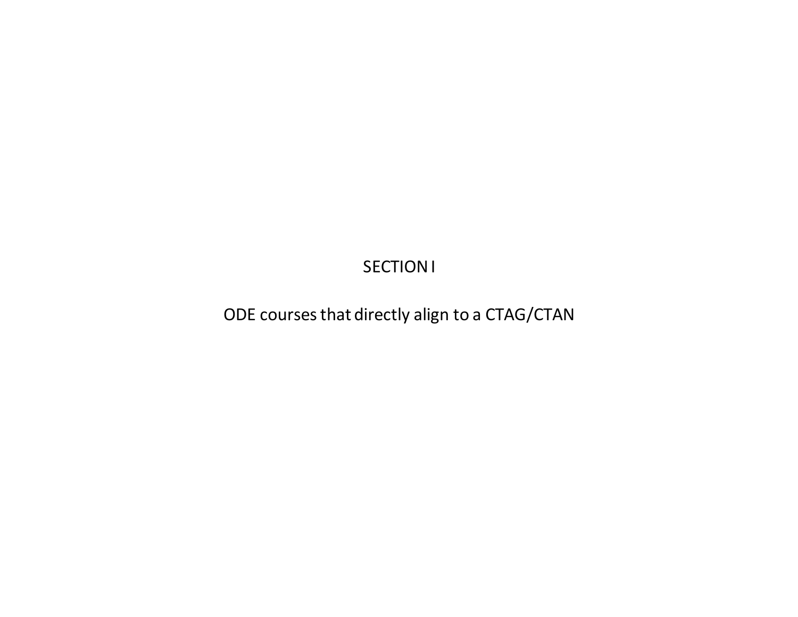# **SECTION I**

ODE courses that directly align to a CTAG/CTAN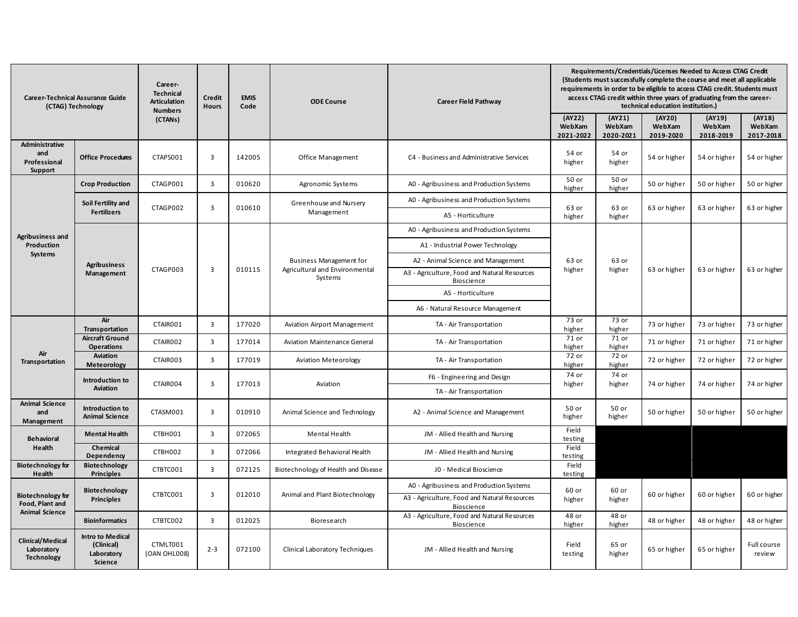| Career-Technical Assurance Guide<br>(CTAG) Technology      | Career-<br><b>Technical</b><br><b>Credit</b><br><b>Articulation</b><br><b>Hours</b><br><b>Numbers</b><br>(CTANs) |                          | <b>EMIS</b><br>Code | <b>ODE Course</b> | <b>Career Field Pathway</b>                                                                                       | Requirements/Credentials/Licenses Needed to Access CTAG Credit<br>(Students must successfully complete the course and meet all applicable<br>requirements in order to be eligible to access CTAG credit. Students must<br>access CTAG credit within three years of graduating from the career-<br>technical education institution.) |                               |                               |                               |                               |                               |
|------------------------------------------------------------|------------------------------------------------------------------------------------------------------------------|--------------------------|---------------------|-------------------|-------------------------------------------------------------------------------------------------------------------|-------------------------------------------------------------------------------------------------------------------------------------------------------------------------------------------------------------------------------------------------------------------------------------------------------------------------------------|-------------------------------|-------------------------------|-------------------------------|-------------------------------|-------------------------------|
|                                                            |                                                                                                                  |                          |                     |                   |                                                                                                                   |                                                                                                                                                                                                                                                                                                                                     | (AY22)<br>WebXam<br>2021-2022 | (AY21)<br>WebXam<br>2020-2021 | (AY20)<br>WebXam<br>2019-2020 | (AY19)<br>WebXam<br>2018-2019 | (AY18)<br>WebXam<br>2017-2018 |
| Administrative<br>and<br>Professional<br>Support           | <b>Office Procedures</b>                                                                                         | CTAPS001                 | 3                   | 142005            | Office Management                                                                                                 | C4 - Business and Administrative Services                                                                                                                                                                                                                                                                                           | 54 or<br>higher               | 54 or<br>higher               | 54 or higher                  | 54 or higher                  | 54 or higher                  |
|                                                            | <b>Crop Production</b>                                                                                           | CTAGP001                 | 3                   | 010620            | Agronomic Systems                                                                                                 | AO - Agribusiness and Production Systems                                                                                                                                                                                                                                                                                            | 50 or<br>higher               | 50 or<br>higher               | 50 or higher                  | 50 or higher                  | 50 or higher                  |
|                                                            | Soil Fertility and                                                                                               |                          |                     |                   | Greenhouse and Nursery                                                                                            | A0 - Agribusiness and Production Systems                                                                                                                                                                                                                                                                                            |                               |                               |                               |                               |                               |
|                                                            | <b>Fertilizers</b>                                                                                               | CTAGP002                 | 3                   | 010610            | Management                                                                                                        | A5 - Horticulture                                                                                                                                                                                                                                                                                                                   | 63 or<br>higher               | 63 or<br>higher               | 63 or higher                  | 63 or higher                  | 63 or higher                  |
| Agribusiness and                                           |                                                                                                                  |                          |                     |                   |                                                                                                                   | A0 - Agribusiness and Production Systems                                                                                                                                                                                                                                                                                            |                               |                               |                               |                               |                               |
| Production                                                 |                                                                                                                  |                          |                     |                   |                                                                                                                   | A1 - Industrial Power Technology                                                                                                                                                                                                                                                                                                    |                               |                               |                               |                               |                               |
| Systems                                                    | <b>Agribusiness</b>                                                                                              |                          |                     |                   | <b>Business Management for</b>                                                                                    | A2 - Animal Science and Management                                                                                                                                                                                                                                                                                                  | 63 or                         | 63 or                         |                               |                               |                               |
|                                                            | Management                                                                                                       | CTAGP003                 | $\overline{3}$      |                   | Agricultural and Environmental<br>010115<br>A3 - Agriculture, Food and Natural Resources<br>Systems<br>Bioscience |                                                                                                                                                                                                                                                                                                                                     | higher                        | higher                        | 63 or higher                  | 63 or higher                  | 63 or higher                  |
|                                                            |                                                                                                                  |                          |                     |                   |                                                                                                                   | A5 - Horticulture                                                                                                                                                                                                                                                                                                                   |                               |                               |                               |                               |                               |
|                                                            |                                                                                                                  |                          |                     |                   |                                                                                                                   | A6 - Natural Resource Management                                                                                                                                                                                                                                                                                                    |                               |                               |                               |                               |                               |
|                                                            | Air<br>Transportation                                                                                            | CTAIR001                 | 3                   | 177020            | Aviation Airport Management                                                                                       | TA - Air Transportation                                                                                                                                                                                                                                                                                                             | 73 or<br>higher               | 73 or<br>higher               | 73 or higher                  | 73 or higher                  | 73 or higher                  |
|                                                            | Aircraft Ground<br><b>Operations</b>                                                                             | CTAIR002                 | $\overline{3}$      | 177014            | <b>Aviation Maintenance General</b>                                                                               | TA - Air Transportation                                                                                                                                                                                                                                                                                                             | 71 or<br>higher               | 71 or<br>higher               | 71 or higher                  | 71 or higher                  | 71 or higher                  |
| Air<br>Transportation                                      | Aviation<br>Meteorology                                                                                          | CTAIR003                 | 3                   | 177019            | Aviation Meteorology                                                                                              | TA - Air Transportation                                                                                                                                                                                                                                                                                                             | $72$ or<br>higher             | $72$ or<br>higher             | 72 or higher                  | 72 or higher                  | 72 or higher                  |
|                                                            | Introduction to                                                                                                  |                          | $\overline{3}$      |                   |                                                                                                                   | F6 - Engineering and Design                                                                                                                                                                                                                                                                                                         | 74 or                         | 74 or                         |                               |                               |                               |
|                                                            | Aviation                                                                                                         | CTAIR004                 |                     | 177013            | Aviation                                                                                                          | TA - Air Transportation                                                                                                                                                                                                                                                                                                             | higher                        | higher                        | 74 or higher                  | 74 or higher                  | 74 or higher                  |
| <b>Animal Science</b><br>and<br>Management                 | Introduction to<br><b>Animal Science</b>                                                                         | CTASM001                 | 3                   | 010910            | Animal Science and Technology                                                                                     | A2 - Animal Science and Management                                                                                                                                                                                                                                                                                                  | 50 or<br>higher               | 50 or<br>higher               | 50 or higher                  | 50 or higher                  | 50 or higher                  |
| <b>Behavioral</b>                                          | <b>Mental Health</b>                                                                                             | CTBH001                  | $\overline{3}$      | 072065            | Mental Health                                                                                                     | JM - Allied Health and Nursing                                                                                                                                                                                                                                                                                                      | Field<br>testing              |                               |                               |                               |                               |
| Health                                                     | Chemical<br>Dependency                                                                                           | CTBH002                  | $\overline{3}$      | 072066            | Integrated Behavioral Health                                                                                      | JM - Allied Health and Nursing                                                                                                                                                                                                                                                                                                      | Field<br>testing              |                               |                               |                               |                               |
| <b>Biotechnology for</b><br>Health                         | Biotechnology<br><b>Principles</b>                                                                               | CTBTC001                 | $\overline{3}$      | 072125            | Biotechnology of Health and Disease                                                                               | J0 - Medical Bioscience                                                                                                                                                                                                                                                                                                             | Field<br>testing              |                               |                               |                               |                               |
| <b>Biotechnology for</b><br>Food, Plant and                | Biotechnology<br><b>Principles</b>                                                                               | CTBTC001                 | 3                   | 012010            | Animal and Plant Biotechnology                                                                                    | A0 - Agribusiness and Production Systems<br>A3 - Agriculture, Food and Natural Resources<br>Bioscience                                                                                                                                                                                                                              | 60 or<br>higher               | 60 or<br>higher               | 60 or higher                  | 60 or higher                  | 60 or higher                  |
| <b>Animal Science</b>                                      | <b>Bioinformatics</b>                                                                                            | CTBTC002                 | $\overline{3}$      | 012025            | Bioresearch                                                                                                       | A3 - Agriculture, Food and Natural Resources<br>Bioscience                                                                                                                                                                                                                                                                          | 48 or<br>higher               | 48 or<br>higher               | 48 or higher                  | 48 or higher                  | 48 or higher                  |
| <b>Clinical/Medical</b><br>Laboratory<br><b>Technology</b> | <b>Intro to Medical</b><br>(Clinical)<br>Laboratory<br>Science                                                   | CTMLT001<br>(OAN OHL008) | $2 - 3$             | 072100            | Clinical Laboratory Techniques                                                                                    | JM - Allied Health and Nursing                                                                                                                                                                                                                                                                                                      | Field<br>testing              | 65 or<br>higher               | 65 or higher                  | 65 or higher                  | Full course<br>review         |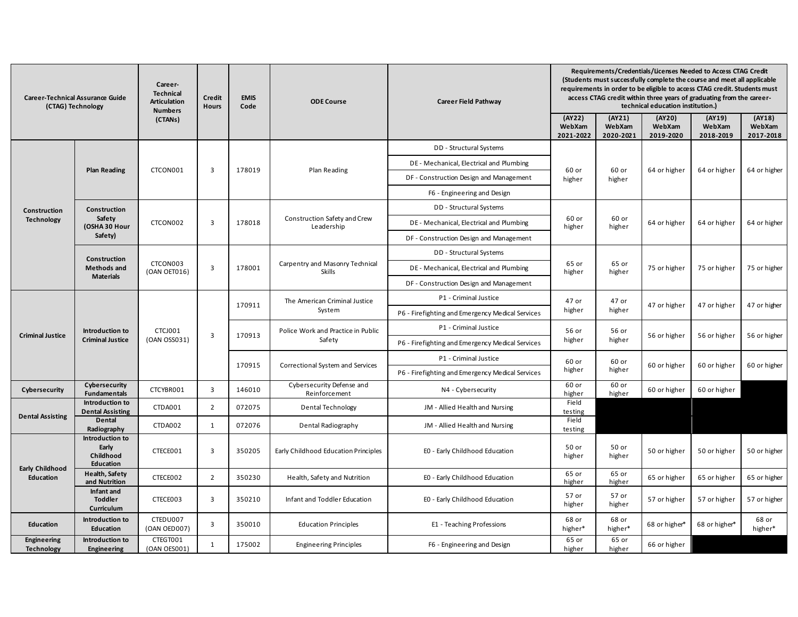| <b>Career-Technical Assurance Guide</b><br>(CTAG) Technology |                                                    | Career-<br><b>Technical</b><br><b>Articulation</b><br><b>Numbers</b><br>(CTANs) | <b>Credit</b><br><b>Hours</b> | <b>EMIS</b><br>Code | <b>ODE Course</b>                          | <b>Career Field Pathway</b>                      |                               |                               | technical education institution.) | Requirements/Credentials/Licenses Needed to Access CTAG Credit<br>(Students must successfully complete the course and meet all applicable<br>requirements in order to be eligible to access CTAG credit. Students must<br>access CTAG credit within three years of graduating from the career- |                               |
|--------------------------------------------------------------|----------------------------------------------------|---------------------------------------------------------------------------------|-------------------------------|---------------------|--------------------------------------------|--------------------------------------------------|-------------------------------|-------------------------------|-----------------------------------|------------------------------------------------------------------------------------------------------------------------------------------------------------------------------------------------------------------------------------------------------------------------------------------------|-------------------------------|
|                                                              |                                                    |                                                                                 |                               |                     |                                            |                                                  | (AY22)<br>WebXam<br>2021-2022 | (AY21)<br>WebXam<br>2020-2021 | (AY20)<br>WebXam<br>2019-2020     | (AY19)<br>WebXam<br>2018-2019                                                                                                                                                                                                                                                                  | (AY18)<br>WebXam<br>2017-2018 |
|                                                              |                                                    |                                                                                 |                               |                     |                                            | DD - Structural Systems                          |                               |                               |                                   |                                                                                                                                                                                                                                                                                                |                               |
|                                                              |                                                    |                                                                                 |                               |                     |                                            | DE - Mechanical, Electrical and Plumbing         |                               |                               |                                   |                                                                                                                                                                                                                                                                                                |                               |
|                                                              | <b>Plan Reading</b>                                | CTCON001                                                                        | 3                             | 178019              | Plan Reading                               | DF - Construction Design and Management          | 60 or<br>higher               | 60 or<br>higher               | 64 or higher                      | 64 or higher                                                                                                                                                                                                                                                                                   | 64 or higher                  |
|                                                              |                                                    |                                                                                 |                               |                     |                                            | F6 - Engineering and Design                      |                               |                               |                                   |                                                                                                                                                                                                                                                                                                |                               |
| Construction                                                 | Construction                                       |                                                                                 |                               |                     |                                            | DD - Structural Systems                          |                               |                               |                                   |                                                                                                                                                                                                                                                                                                |                               |
| <b>Technology</b>                                            | Safety<br>(OSHA 30 Hour                            | CTCON002                                                                        | 3                             | 178018              | Construction Safety and Crew<br>Leadership | DE - Mechanical, Electrical and Plumbing         | 60 or<br>higher               | 60 or<br>higher               | 64 or higher                      | 64 or higher                                                                                                                                                                                                                                                                                   | 64 or higher                  |
|                                                              | Safety)                                            |                                                                                 |                               |                     |                                            | DF - Construction Design and Management          |                               |                               |                                   |                                                                                                                                                                                                                                                                                                |                               |
|                                                              | Construction                                       |                                                                                 |                               |                     |                                            | DD - Structural Systems                          |                               |                               |                                   |                                                                                                                                                                                                                                                                                                |                               |
|                                                              | <b>Methods and</b>                                 | CTCON003<br>(OAN OET016)                                                        | $\overline{3}$                | 178001              | Carpentry and Masonry Technical<br>Skills  | DE - Mechanical, Electrical and Plumbing         | 65 or<br>higher               | 65 or<br>higher               | 75 or higher                      | 75 or higher                                                                                                                                                                                                                                                                                   | 75 or higher                  |
|                                                              | <b>Materials</b>                                   |                                                                                 |                               |                     |                                            | DF - Construction Design and Management          |                               |                               |                                   |                                                                                                                                                                                                                                                                                                |                               |
|                                                              |                                                    |                                                                                 |                               | 170911              | The American Criminal Justice              | P1 - Criminal Justice                            | 47 or                         | 47 or                         | 47 or higher                      | 47 or higher                                                                                                                                                                                                                                                                                   | 47 or higher                  |
|                                                              |                                                    |                                                                                 |                               |                     | System                                     | P6 - Firefighting and Emergency Medical Services | higher                        | higher                        |                                   |                                                                                                                                                                                                                                                                                                |                               |
| <b>Criminal Justice</b>                                      | Introduction to                                    | CTCJ001                                                                         |                               | 170913              | Police Work and Practice in Public         | P1 - Criminal Justice                            | 56 or                         | 56 or                         |                                   |                                                                                                                                                                                                                                                                                                |                               |
|                                                              | <b>Criminal Justice</b>                            | (OAN OSS031)                                                                    | 3                             |                     | Safety                                     | P6 - Firefighting and Emergency Medical Services | higher                        | higher                        | 56 or higher                      | 56 or higher                                                                                                                                                                                                                                                                                   | 56 or higher                  |
|                                                              |                                                    |                                                                                 |                               | 170915              | Correctional System and Services           | P1 - Criminal Justice                            | 60 or                         | 60 or                         |                                   |                                                                                                                                                                                                                                                                                                |                               |
|                                                              |                                                    |                                                                                 |                               |                     |                                            | P6 - Firefighting and Emergency Medical Services | higher                        | higher                        | 60 or higher                      | 60 or higher                                                                                                                                                                                                                                                                                   | 60 or higher                  |
| Cybersecurity                                                | Cybersecurity<br><b>Fundamentals</b>               | CTCYBR001                                                                       | 3                             | 146010              | Cybersecurity Defense and<br>Reinforcement | N4 - Cybersecurity                               | 60 or<br>higher               | 60 or<br>higher               | 60 or higher                      | 60 or higher                                                                                                                                                                                                                                                                                   |                               |
| <b>Dental Assisting</b>                                      | Introduction to<br><b>Dental Assisting</b>         | CTDA001                                                                         | $\overline{2}$                | 072075              | <b>Dental Technology</b>                   | JM - Allied Health and Nursing                   | Field<br>testing              |                               |                                   |                                                                                                                                                                                                                                                                                                |                               |
|                                                              | <b>Dental</b><br>Radiography                       | CTDA002                                                                         | $\mathbf{1}$                  | 072076              | Dental Radiography                         | JM - Allied Health and Nursing                   | Field<br>testing              |                               |                                   |                                                                                                                                                                                                                                                                                                |                               |
|                                                              | Introduction to<br>Early<br>Childhood<br>Education | CTECE001                                                                        | 3                             | 350205              | Early Childhood Education Principles       | E0 - Early Childhood Education                   | 50 or<br>higher               | 50 or<br>higher               | 50 or higher                      | 50 or higher                                                                                                                                                                                                                                                                                   | 50 or higher                  |
| Early Childhood<br>Education                                 | <b>Health, Safety</b><br>and Nutrition             | CTECE002                                                                        | $\overline{2}$                | 350230              | Health, Safety and Nutrition               | EO - Early Childhood Education                   | 65 or<br>higher               | 65 or<br>higher               | 65 or higher                      | 65 or higher                                                                                                                                                                                                                                                                                   | 65 or higher                  |
|                                                              | Infant and<br><b>Toddler</b><br>Curriculum         | CTECE003                                                                        | 3                             | 350210              | Infant and Toddler Education               | EO - Early Childhood Education                   | 57 or<br>higher               | 57 or<br>higher               | 57 or higher                      | 57 or higher                                                                                                                                                                                                                                                                                   | 57 or higher                  |
| Education                                                    | Introduction to<br>Education                       | CTEDU007<br>(OAN OED007)                                                        | 3                             | 350010              | <b>Education Principles</b>                | E1 - Teaching Professions                        | 68 or<br>higher*              | 68 or<br>higher*              | 68 or higher*                     | 68 or higher*                                                                                                                                                                                                                                                                                  | 68 or<br>higher*              |
| Engineering<br><b>Technology</b>                             | Introduction to<br>Engineering                     | CTEGT001<br>(OAN OES001)                                                        | $\mathbf{1}$                  | 175002              | <b>Engineering Principles</b>              | F6 - Engineering and Design                      | 65 or<br>higher               | 65 or<br>higher               | 66 or higher                      |                                                                                                                                                                                                                                                                                                |                               |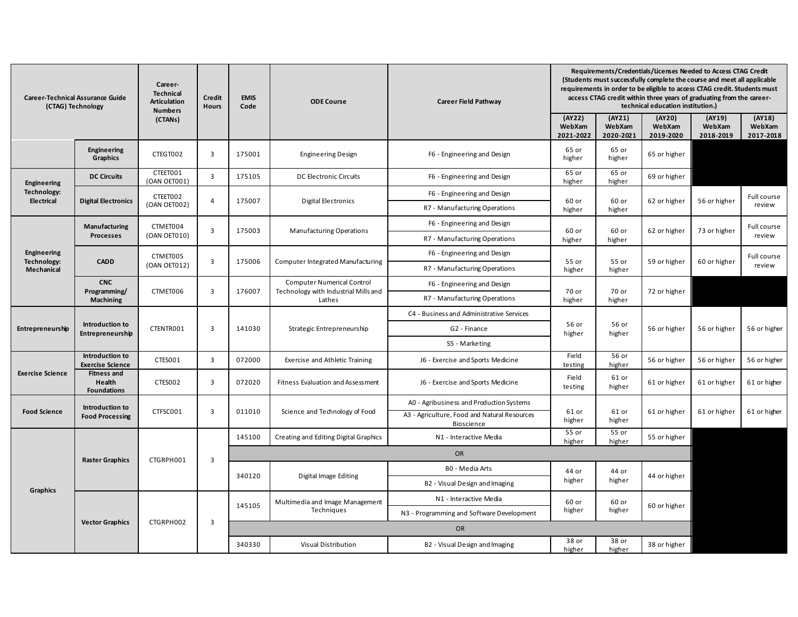| (CTAG) Technology                         | <b>Career-Technical Assurance Guide</b>            | Career-<br><b>Technical</b><br><b>Articulation</b><br><b>Numbers</b> | Credit<br><b>Hours</b> | <b>EMIS</b><br>Code             | <b>ODE Course</b>                                                         | <b>Career Field Pathway</b>                                                                            |                               |                               | Requirements/Credentials/Licenses Needed to Access CTAG Credit<br>(Students must successfully complete the course and meet all applicable<br>requirements in order to be eligible to access CTAG credit. Students must<br>access CTAG credit within three years of graduating from the career-<br>technical education institution.) |                               |                               |
|-------------------------------------------|----------------------------------------------------|----------------------------------------------------------------------|------------------------|---------------------------------|---------------------------------------------------------------------------|--------------------------------------------------------------------------------------------------------|-------------------------------|-------------------------------|-------------------------------------------------------------------------------------------------------------------------------------------------------------------------------------------------------------------------------------------------------------------------------------------------------------------------------------|-------------------------------|-------------------------------|
|                                           |                                                    | (CTANs)                                                              |                        |                                 |                                                                           |                                                                                                        | (AY22)<br>WebXam<br>2021-2022 | (AY21)<br>WebXam<br>2020-2021 | (AY20)<br>WebXam<br>2019-2020                                                                                                                                                                                                                                                                                                       | (AY19)<br>WebXam<br>2018-2019 | (AY18)<br>WebXam<br>2017-2018 |
|                                           | <b>Engineering</b><br>Graphics                     | CTEGT002                                                             | 3                      | 175001                          | <b>Engineering Design</b>                                                 | F6 - Engineering and Design                                                                            | 65 or<br>higher               | 65 or<br>higher               | 65 or higher                                                                                                                                                                                                                                                                                                                        |                               |                               |
| Engineering                               | <b>DC Circuits</b>                                 | CTEET001<br>(OAN OET001)                                             | 3                      | 175105                          | DC Electronic Circuits                                                    | F6 - Engineering and Design                                                                            | 65 or<br>higher               | 65 or<br>higher               | 69 or higher                                                                                                                                                                                                                                                                                                                        |                               |                               |
| <b>Technology:</b><br>Electrical          | <b>Digital Electronics</b>                         | CTEET002                                                             | 4                      | 175007                          | <b>Digital Electronics</b>                                                | F6 - Engineering and Design                                                                            | 60 or                         | 60 or                         | 62 or higher                                                                                                                                                                                                                                                                                                                        | 56 or higher                  | Full course                   |
|                                           |                                                    | (OAN OET002)                                                         |                        |                                 |                                                                           | R7 - Manufacturing Operations                                                                          | higher                        | higher                        |                                                                                                                                                                                                                                                                                                                                     |                               | review                        |
|                                           | Manufacturing                                      | CTMET004                                                             | 3                      | 175003                          | <b>Manufacturing Operations</b>                                           | F6 - Engineering and Design                                                                            | 60 or                         | 60 or                         | 62 or higher                                                                                                                                                                                                                                                                                                                        | 73 or higher                  | Full course                   |
|                                           | Processes                                          | (OAN OET010)                                                         |                        |                                 |                                                                           | R7 - Manufacturing Operations                                                                          | higher                        | higher                        |                                                                                                                                                                                                                                                                                                                                     |                               | review                        |
| Engineering<br><b>Technology:</b>         | <b>CADD</b>                                        | CTMET005                                                             | 3                      | 175006                          | Computer Integrated Manufacturing                                         | F6 - Engineering and Design                                                                            | 55 or                         | 55 or                         | 59 or higher                                                                                                                                                                                                                                                                                                                        | 60 or higher                  | Full course                   |
| Mechanical                                |                                                    | (OAN OET012)                                                         |                        |                                 |                                                                           | R7 - Manufacturing Operations                                                                          | higher                        | higher                        |                                                                                                                                                                                                                                                                                                                                     |                               | review                        |
|                                           | <b>CNC</b><br>Programming/                         | CTMET006                                                             | 3                      | 176007                          | <b>Computer Numerical Control</b><br>Technology with Industrial Mills and | F6 - Engineering and Design                                                                            | 70 or                         | 70 or                         | 72 or higher                                                                                                                                                                                                                                                                                                                        |                               |                               |
|                                           | <b>Machining</b>                                   |                                                                      |                        |                                 | Lathes                                                                    | R7 - Manufacturing Operations                                                                          | higher                        | higher                        |                                                                                                                                                                                                                                                                                                                                     |                               |                               |
|                                           |                                                    |                                                                      |                        |                                 |                                                                           | C4 - Business and Administrative Services                                                              |                               |                               |                                                                                                                                                                                                                                                                                                                                     |                               |                               |
| Entrepreneurship                          | Introduction to<br>Entrepreneurship                | CTENTR001                                                            | 3                      | 141030                          | Strategic Entrepreneurship                                                | G2 - Finance                                                                                           | 56 or<br>higher               | 56 or<br>higher               | 56 or higher                                                                                                                                                                                                                                                                                                                        | 56 or higher                  | 56 or higher                  |
|                                           |                                                    |                                                                      |                        |                                 |                                                                           | S5 - Marketing                                                                                         |                               |                               |                                                                                                                                                                                                                                                                                                                                     |                               |                               |
|                                           | Introduction to<br><b>Exercise Science</b>         | CTES001                                                              | $\overline{3}$         | 072000                          | <b>Exercise and Athletic Training</b>                                     | J6 - Exercise and Sports Medicine                                                                      | Field<br>testing              | 56 or<br>higher               | 56 or higher                                                                                                                                                                                                                                                                                                                        | 56 or higher                  | 56 or higher                  |
| <b>Exercise Science</b>                   | <b>Fitness and</b><br>Health<br><b>Foundations</b> | CTES002                                                              | $\overline{3}$         | 072020                          | Fitness Evaluation and Assessment                                         | J6 - Exercise and Sports Medicine                                                                      | Field<br>testing              | 61 or<br>higher               | 61 or higher                                                                                                                                                                                                                                                                                                                        | 61 or higher                  | 61 or higher                  |
| <b>Food Science</b>                       | Introduction to<br><b>Food Processing</b>          | CTFSC001                                                             | $\overline{3}$         | 011010                          | Science and Technology of Food                                            | A0 - Agribusiness and Production Systems<br>A3 - Agriculture, Food and Natural Resources<br>Bioscience | 61 or<br>higher               | 61 or<br>higher               | 61 or higher                                                                                                                                                                                                                                                                                                                        | 61 or higher                  | 61 or higher                  |
|                                           |                                                    |                                                                      |                        | 145100                          | Creating and Editing Digital Graphics                                     | N1 - Interactive Media                                                                                 | 55 or<br>higher               | 55 or<br>higher               | 55 or higher                                                                                                                                                                                                                                                                                                                        |                               |                               |
|                                           |                                                    |                                                                      |                        |                                 |                                                                           | <b>OR</b>                                                                                              |                               |                               |                                                                                                                                                                                                                                                                                                                                     |                               |                               |
|                                           | <b>Raster Graphics</b>                             | CTGRPH001                                                            | 3                      |                                 |                                                                           | B0 - Media Arts                                                                                        | 44 or                         | 44 or                         |                                                                                                                                                                                                                                                                                                                                     |                               |                               |
|                                           |                                                    |                                                                      |                        | 340120                          | Digital Image Editing                                                     | B2 - Visual Design and Imaging                                                                         | higher                        | higher                        | 44 or higher                                                                                                                                                                                                                                                                                                                        |                               |                               |
| <b>Graphics</b><br><b>Vector Graphics</b> |                                                    |                                                                      |                        | Multimedia and Image Management | N1 - Interactive Media                                                    | 60 or                                                                                                  | 60 or                         |                               |                                                                                                                                                                                                                                                                                                                                     |                               |                               |
|                                           |                                                    |                                                                      |                        | 145105                          | Techniques                                                                | N3 - Programming and Software Development                                                              | higher                        | higher                        | 60 or higher                                                                                                                                                                                                                                                                                                                        |                               |                               |
|                                           |                                                    | CTGRPH002                                                            | 3                      |                                 |                                                                           | OR                                                                                                     |                               |                               |                                                                                                                                                                                                                                                                                                                                     |                               |                               |
|                                           |                                                    |                                                                      |                        | 340330                          | Visual Distribution                                                       | B2 - Visual Design and Imaging                                                                         | 38 or<br>higher               | 38 or<br>higher               | 38 or higher                                                                                                                                                                                                                                                                                                                        |                               |                               |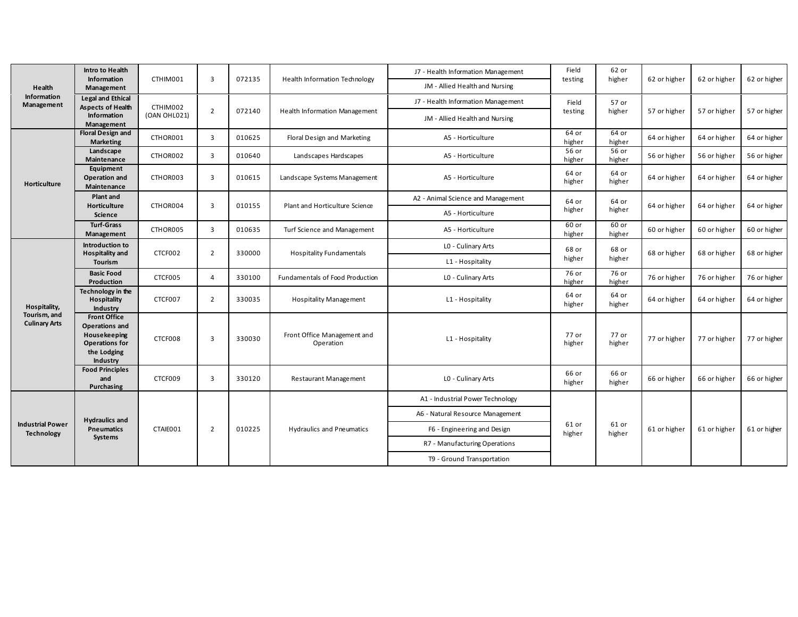|                                              | Intro to Health                                                                                                  |              |                |        |                                          |                                    | Field           | 62 or           |              |              |              |
|----------------------------------------------|------------------------------------------------------------------------------------------------------------------|--------------|----------------|--------|------------------------------------------|------------------------------------|-----------------|-----------------|--------------|--------------|--------------|
|                                              | <b>Information</b>                                                                                               | CTHIM001     | 3              | 072135 | <b>Health Information Technology</b>     | J7 - Health Information Management | testing         | higher          | 62 or higher | 62 or higher | 62 or higher |
| Health                                       | Management                                                                                                       |              |                |        |                                          | JM - Allied Health and Nursing     |                 |                 |              |              |              |
| <b>Information</b><br>Management             | <b>Legal and Ethical</b><br><b>Aspects of Health</b>                                                             | CTHIM002     |                |        |                                          | J7 - Health Information Management | Field           | 57 or           |              |              |              |
|                                              | Information<br>Management                                                                                        | (OAN OHL021) | $\overline{2}$ | 072140 | <b>Health Information Management</b>     | JM - Allied Health and Nursing     | testing         | higher          | 57 or higher | 57 or higher | 57 or higher |
|                                              | <b>Floral Design and</b><br><b>Marketing</b>                                                                     | CTHOR001     | $\overline{3}$ | 010625 | Floral Design and Marketing              | A5 - Horticulture                  | 64 or<br>higher | 64 or<br>higher | 64 or higher | 64 or higher | 64 or higher |
|                                              | Landscape<br>Maintenance                                                                                         | CTHOR002     | 3              | 010640 | Landscapes Hardscapes                    | A5 - Horticulture                  | 56 or<br>higher | 56 or<br>higher | 56 or higher | 56 or higher | 56 or higher |
| <b>Horticulture</b>                          | Equipment<br><b>Operation and</b><br>Maintenance                                                                 | CTHOR003     | $\overline{3}$ | 010615 | Landscape Systems Management             | A5 - Horticulture                  | 64 or<br>higher | 64 or<br>higher | 64 or higher | 64 or higher | 64 or higher |
|                                              | Plant and<br><b>Horticulture</b>                                                                                 |              | 3              |        |                                          | A2 - Animal Science and Management | 64 or           | 64 or           |              |              |              |
|                                              | Science                                                                                                          | CTHOR004     |                | 010155 | Plant and Horticulture Science           | A5 - Horticulture                  | higher          | higher          | 64 or higher | 64 or higher | 64 or higher |
|                                              | <b>Turf-Grass</b><br>Management                                                                                  | CTHOR005     | $\overline{3}$ | 010635 | Turf Science and Management              | A5 - Horticulture                  | 60 or<br>higher | 60 or<br>higher | 60 or higher | 60 or higher | 60 or higher |
|                                              | Introduction to                                                                                                  |              |                | 330000 |                                          | L0 - Culinary Arts                 | 68 or           | 68 or           |              |              |              |
|                                              | <b>Hospitality and</b><br><b>Tourism</b>                                                                         | CTCF002      | $\overline{2}$ |        | <b>Hospitality Fundamentals</b>          | L1 - Hospitality                   | higher          | higher          | 68 or higher | 68 or higher | 68 or higher |
|                                              | <b>Basic Food</b><br>Production                                                                                  | CTCF005      | 4              | 330100 | Fundamentals of Food Production          | L0 - Culinary Arts                 | 76 or<br>higher | 76 or<br>higher | 76 or higher | 76 or higher | 76 or higher |
| Hospitality,                                 | Technology in the<br>Hospitality<br>Industry                                                                     | CTCF007      | $\overline{2}$ | 330035 | <b>Hospitality Management</b>            | L1 - Hospitality                   | 64 or<br>higher | 64 or<br>higher | 64 or higher | 64 or higher | 64 or higher |
| Tourism, and<br><b>Culinary Arts</b>         | <b>Front Office</b><br><b>Operations and</b><br>Housekeeping<br><b>Operations for</b><br>the Lodging<br>Industry | CTCF008      | 3              | 330030 | Front Office Management and<br>Operation | L1 - Hospitality                   | 77 or<br>higher | 77 or<br>higher | 77 or higher | 77 or higher | 77 or higher |
|                                              | <b>Food Principles</b><br>and<br><b>Purchasing</b>                                                               | CTCF009      | 3              | 330120 | Restaurant Management                    | L0 - Culinary Arts                 | 66 or<br>higher | 66 or<br>higher | 66 or higher | 66 or higher | 66 or higher |
|                                              |                                                                                                                  |              |                |        |                                          | A1 - Industrial Power Technology   |                 |                 |              |              |              |
|                                              | <b>Hydraulics and</b>                                                                                            |              |                |        |                                          | A6 - Natural Resource Management   |                 |                 |              |              |              |
| <b>Industrial Power</b><br><b>Technology</b> | <b>Pneumatics</b>                                                                                                | CTAIE001     | $\overline{2}$ | 010225 | <b>Hydraulics and Pneumatics</b>         | F6 - Engineering and Design        | 61 or<br>higher | 61 or<br>higher | 61 or higher | 61 or higher | 61 or higher |
|                                              | Systems                                                                                                          |              |                |        |                                          | R7 - Manufacturing Operations      |                 |                 |              |              |              |
|                                              |                                                                                                                  |              |                |        |                                          | T9 - Ground Transportation         |                 |                 |              |              |              |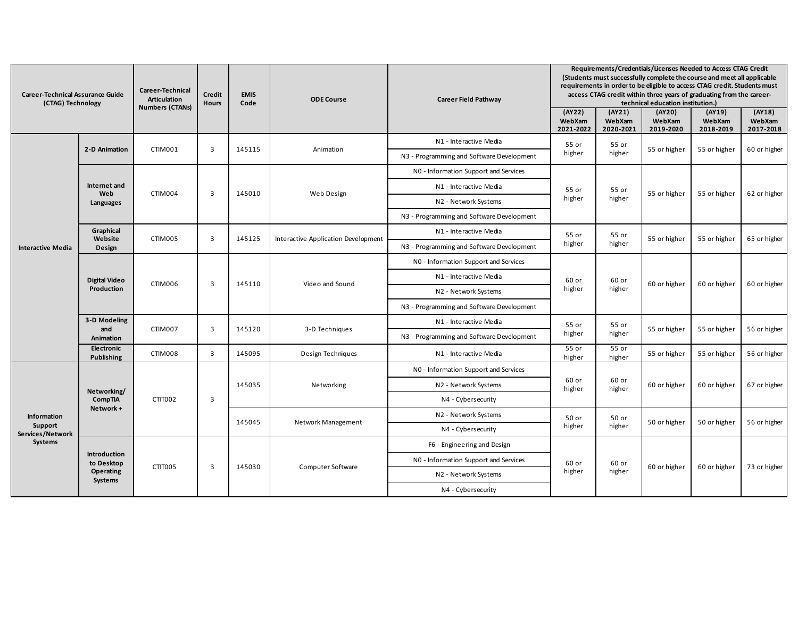| <b>Career-Technical Assurance Guide</b><br>(CTAG) Technology                                                            |                                 | <b>Career-Technical</b><br><b>Articulation</b> | Credit<br><b>Hours</b> | <b>EMIS</b><br>Code                 | <b>ODE Course</b>                         | <b>Career Field Pathway</b>               |                               |                               | Requirements/Credentials/Licenses Needed to Access CTAG Credit<br>(Students must successfully complete the course and meet all applicable<br>requirements in order to be eligible to access CTAG credit. Students must<br>access CTAG credit within three years of graduating from the career-<br>technical education institution.) |                               |                               |
|-------------------------------------------------------------------------------------------------------------------------|---------------------------------|------------------------------------------------|------------------------|-------------------------------------|-------------------------------------------|-------------------------------------------|-------------------------------|-------------------------------|-------------------------------------------------------------------------------------------------------------------------------------------------------------------------------------------------------------------------------------------------------------------------------------------------------------------------------------|-------------------------------|-------------------------------|
|                                                                                                                         |                                 | <b>Numbers (CTANs)</b>                         |                        |                                     |                                           |                                           | (AY22)<br>WebXam<br>2021-2022 | (AY21)<br>WebXam<br>2020-2021 | (AY20)<br>WebXam<br>2019-2020                                                                                                                                                                                                                                                                                                       | (AY19)<br>WebXam<br>2018-2019 | (AY18)<br>WebXam<br>2017-2018 |
|                                                                                                                         |                                 |                                                |                        |                                     |                                           | N1 - Interactive Media                    | 55 or                         | 55 or                         |                                                                                                                                                                                                                                                                                                                                     |                               |                               |
|                                                                                                                         | 2-D Animation                   | CTIM001                                        | $\overline{3}$         | 145115                              | Animation                                 | N3 - Programming and Software Development | higher                        | higher                        | 55 or higher                                                                                                                                                                                                                                                                                                                        | 55 or higher                  | 60 or higher                  |
|                                                                                                                         |                                 |                                                |                        |                                     |                                           | NO - Information Support and Services     |                               |                               |                                                                                                                                                                                                                                                                                                                                     |                               | 62 or higher                  |
|                                                                                                                         | Internet and<br>Web             | CTIM004                                        | 3                      | 145010                              | Web Design                                | N1 - Interactive Media                    | 55 or                         | 55 or                         | 55 or higher                                                                                                                                                                                                                                                                                                                        | 55 or higher                  |                               |
|                                                                                                                         | Languages                       |                                                |                        |                                     |                                           | N2 - Network Systems                      | higher                        | higher                        |                                                                                                                                                                                                                                                                                                                                     |                               |                               |
|                                                                                                                         | Graphical<br>Website<br>CTIM005 |                                                |                        |                                     | N3 - Programming and Software Development |                                           |                               |                               |                                                                                                                                                                                                                                                                                                                                     |                               |                               |
|                                                                                                                         |                                 | $\overline{3}$                                 | 145125                 | Interactive Application Development | N1 - Interactive Media                    | 55 or                                     | 55 or                         | 55 or higher                  | 55 or higher                                                                                                                                                                                                                                                                                                                        | 65 or higher                  |                               |
| <b>Interactive Media</b>                                                                                                | Design                          |                                                |                        |                                     |                                           | N3 - Programming and Software Development | higher                        | higher                        |                                                                                                                                                                                                                                                                                                                                     |                               |                               |
| <b>Digital Video</b>                                                                                                    |                                 |                                                |                        |                                     | NO - Information Support and Services     |                                           |                               |                               |                                                                                                                                                                                                                                                                                                                                     |                               |                               |
|                                                                                                                         |                                 | CTIM006                                        | 3                      | 145110                              | Video and Sound                           | N1 - Interactive Media                    | 60 or                         | 60 or                         | 60 or higher                                                                                                                                                                                                                                                                                                                        | 60 or higher                  | 60 or higher                  |
|                                                                                                                         | Production                      |                                                |                        |                                     |                                           | N2 - Network Systems                      | higher                        | higher                        |                                                                                                                                                                                                                                                                                                                                     |                               |                               |
|                                                                                                                         |                                 |                                                |                        |                                     |                                           | N3 - Programming and Software Development |                               |                               |                                                                                                                                                                                                                                                                                                                                     |                               |                               |
|                                                                                                                         | 3-D Modeling<br>and             | CTIM007                                        | $\overline{3}$         | 145120                              | 3-D Techniques                            | N1 - Interactive Media                    | 55 or                         | 55 or                         |                                                                                                                                                                                                                                                                                                                                     | 55 or higher                  | 56 or higher                  |
|                                                                                                                         | Animation                       |                                                |                        |                                     |                                           | N3 - Programming and Software Development | higher                        | higher                        | 55 or higher                                                                                                                                                                                                                                                                                                                        |                               |                               |
|                                                                                                                         | Electronic<br><b>Publishing</b> | CTIM008                                        | $\overline{3}$         | 145095                              | Design Techniques                         | N1 - Interactive Media                    | 55 or<br>higher               | 55 or<br>higher               | 55 or higher                                                                                                                                                                                                                                                                                                                        | 55 or higher                  | 56 or higher                  |
|                                                                                                                         |                                 |                                                |                        |                                     |                                           | NO - Information Support and Services     |                               |                               |                                                                                                                                                                                                                                                                                                                                     |                               |                               |
|                                                                                                                         | Networking/                     |                                                |                        | 145035                              | Networking                                | N2 - Network Systems                      | 60 or<br>higher               | 60 or<br>higher               | 60 or higher                                                                                                                                                                                                                                                                                                                        | 60 or higher                  | 67 or higher                  |
|                                                                                                                         | CompTIA                         | CTIT002                                        | 3                      |                                     |                                           | N4 - Cybersecurity                        |                               |                               |                                                                                                                                                                                                                                                                                                                                     |                               |                               |
| Network+<br><b>Information</b><br>Support<br>Services/Network<br>Systems<br>Introduction<br><b>Operating</b><br>Systems |                                 |                                                |                        |                                     |                                           | N2 - Network Systems                      | 50 or                         | 50 or                         |                                                                                                                                                                                                                                                                                                                                     |                               |                               |
|                                                                                                                         |                                 |                                                |                        | 145045                              | Network Management                        | N4 - Cybersecurity                        | higher                        | higher                        | 50 or higher                                                                                                                                                                                                                                                                                                                        | 50 or higher                  | 56 or higher                  |
|                                                                                                                         |                                 |                                                |                        |                                     |                                           | F6 - Engineering and Design               |                               |                               |                                                                                                                                                                                                                                                                                                                                     |                               | 73 or higher                  |
|                                                                                                                         | to Desktop                      | CTIT005                                        | 3                      | 145030                              |                                           | NO - Information Support and Services     | 60 or                         | 60 or                         |                                                                                                                                                                                                                                                                                                                                     |                               |                               |
|                                                                                                                         |                                 |                                                |                        |                                     | Computer Software                         | N2 - Network Systems                      | higher                        | higher                        | 60 or higher                                                                                                                                                                                                                                                                                                                        | 60 or higher                  |                               |
|                                                                                                                         |                                 |                                                |                        |                                     |                                           | N4 - Cybersecurity                        |                               |                               |                                                                                                                                                                                                                                                                                                                                     |                               |                               |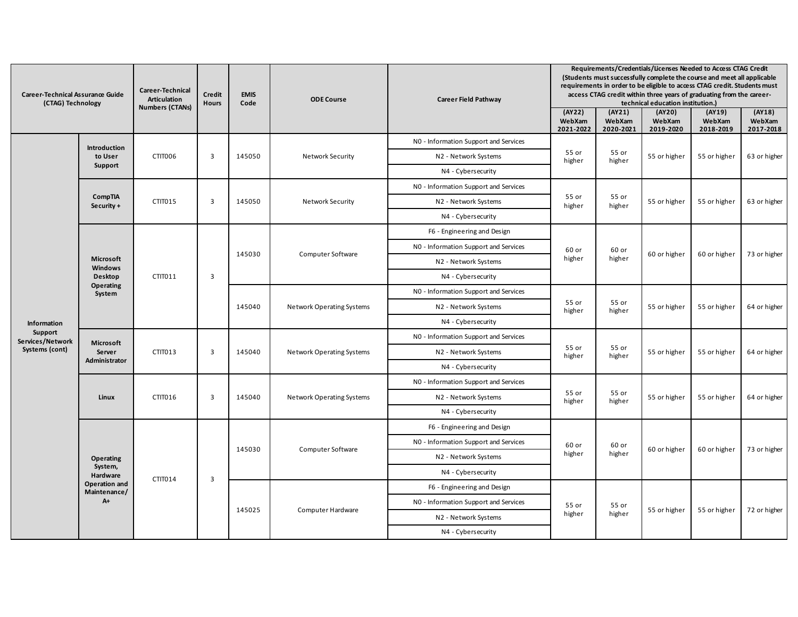| <b>Career-Technical Assurance Guide</b><br>(CTAG) Technology                       | Career-Technical<br><b>Articulation</b><br><b>Numbers (CTANs)</b> | <b>Credit</b><br><b>Hours</b> | <b>EMIS</b><br>Code | <b>ODE Course</b> | <b>Career Field Pathway</b> | Requirements/Credentials/Licenses Needed to Access CTAG Credit<br>(Students must successfully complete the course and meet all applicable<br>requirements in order to be eligible to access CTAG credit. Students must<br>access CTAG credit within three years of graduating from the career-<br>technical education institution.) |                               |                               |                               |                               |                               |
|------------------------------------------------------------------------------------|-------------------------------------------------------------------|-------------------------------|---------------------|-------------------|-----------------------------|-------------------------------------------------------------------------------------------------------------------------------------------------------------------------------------------------------------------------------------------------------------------------------------------------------------------------------------|-------------------------------|-------------------------------|-------------------------------|-------------------------------|-------------------------------|
|                                                                                    |                                                                   |                               |                     |                   |                             |                                                                                                                                                                                                                                                                                                                                     | (AY22)<br>WebXam<br>2021-2022 | (AY21)<br>WebXam<br>2020-2021 | (AY20)<br>WebXam<br>2019-2020 | (AY19)<br>WebXam<br>2018-2019 | (AY18)<br>WebXam<br>2017-2018 |
|                                                                                    | Introduction                                                      |                               |                     |                   |                             | NO - Information Support and Services                                                                                                                                                                                                                                                                                               |                               |                               |                               |                               |                               |
|                                                                                    | to User                                                           | CTIT006                       | $\overline{3}$      | 145050            | <b>Network Security</b>     | N2 - Network Systems                                                                                                                                                                                                                                                                                                                | 55 or<br>higher               | 55 or<br>higher               | 55 or higher                  | 55 or higher                  | 63 or higher                  |
|                                                                                    | Support                                                           |                               |                     |                   |                             | N4 - Cybersecurity                                                                                                                                                                                                                                                                                                                  |                               |                               |                               |                               |                               |
|                                                                                    |                                                                   |                               |                     |                   |                             | NO - Information Support and Services                                                                                                                                                                                                                                                                                               |                               |                               |                               |                               |                               |
|                                                                                    | CompTIA<br>Security +                                             | CTIT015                       | $\overline{3}$      | 145050            | <b>Network Security</b>     | N2 - Network Systems                                                                                                                                                                                                                                                                                                                | 55 or<br>higher               | 55 or<br>higher               | 55 or higher                  | 55 or higher                  | 63 or higher                  |
|                                                                                    |                                                                   |                               |                     |                   |                             | N4 - Cybersecurity                                                                                                                                                                                                                                                                                                                  |                               |                               |                               |                               |                               |
|                                                                                    |                                                                   |                               |                     |                   | Computer Software           | F6 - Engineering and Design                                                                                                                                                                                                                                                                                                         |                               |                               |                               |                               |                               |
|                                                                                    |                                                                   |                               |                     |                   |                             | NO - Information Support and Services                                                                                                                                                                                                                                                                                               | 60 or                         | 60 or                         | 60 or higher                  | 60 or higher                  |                               |
| <b>Microsoft</b><br><b>Windows</b><br><b>Desktop</b><br><b>Operating</b><br>System |                                                                   |                               | 145030              |                   | N2 - Network Systems        | higher                                                                                                                                                                                                                                                                                                                              | higher                        |                               |                               | 73 or higher                  |                               |
|                                                                                    |                                                                   | CTIT011                       | $\overline{3}$      |                   |                             | N4 - Cybersecurity                                                                                                                                                                                                                                                                                                                  |                               |                               |                               |                               |                               |
|                                                                                    |                                                                   |                               |                     | 145040            | Network Operating Systems   | NO - Information Support and Services                                                                                                                                                                                                                                                                                               |                               |                               |                               |                               | 64 or higher                  |
|                                                                                    |                                                                   |                               |                     |                   |                             | N2 - Network Systems                                                                                                                                                                                                                                                                                                                | 55 or<br>higher               | 55 or<br>higher               | 55 or higher                  | 55 or higher                  |                               |
| Information                                                                        |                                                                   |                               |                     |                   |                             | N4 - Cybersecurity                                                                                                                                                                                                                                                                                                                  |                               |                               |                               |                               |                               |
| Support<br>Services/Network                                                        | <b>Microsoft</b>                                                  | CTIT013                       | $\overline{3}$      | 145040            | Network Operating Systems   | NO - Information Support and Services                                                                                                                                                                                                                                                                                               |                               |                               |                               |                               |                               |
| Systems (cont)                                                                     | Server                                                            |                               |                     |                   |                             | N2 - Network Systems                                                                                                                                                                                                                                                                                                                | 55 or<br>higher               | 55 or<br>higher               | 55 or higher                  | 55 or higher                  | 64 or higher                  |
|                                                                                    | Administrator                                                     |                               |                     |                   |                             | N4 - Cybersecurity                                                                                                                                                                                                                                                                                                                  |                               |                               |                               |                               |                               |
|                                                                                    |                                                                   |                               |                     |                   |                             | NO - Information Support and Services                                                                                                                                                                                                                                                                                               |                               |                               |                               |                               |                               |
|                                                                                    | Linux                                                             | CTIT016                       | $\overline{3}$      | 145040            | Network Operating Systems   | N2 - Network Systems                                                                                                                                                                                                                                                                                                                | 55 or<br>higher               | 55 or<br>higher               | 55 or higher                  | 55 or higher                  | 64 or higher                  |
|                                                                                    |                                                                   |                               |                     |                   |                             | N4 - Cybersecurity                                                                                                                                                                                                                                                                                                                  |                               |                               |                               |                               |                               |
|                                                                                    |                                                                   |                               |                     |                   |                             | F6 - Engineering and Design                                                                                                                                                                                                                                                                                                         |                               |                               |                               |                               |                               |
|                                                                                    |                                                                   |                               |                     | 145030            | Computer Software           | NO - Information Support and Services                                                                                                                                                                                                                                                                                               | 60 or                         | 60 or                         |                               |                               |                               |
| <b>Operating</b><br>System,<br>Hardware<br>Operation and<br>Maintenance/           |                                                                   |                               |                     |                   |                             | N2 - Network Systems                                                                                                                                                                                                                                                                                                                | higher                        | higher                        | 60 or higher                  | 60 or higher                  | 73 or higher                  |
|                                                                                    |                                                                   | CTIT014                       | $\overline{3}$      |                   |                             | N4 - Cybersecurity                                                                                                                                                                                                                                                                                                                  |                               |                               |                               |                               |                               |
|                                                                                    |                                                                   |                               |                     |                   | F6 - Engineering and Design |                                                                                                                                                                                                                                                                                                                                     |                               |                               |                               |                               |                               |
|                                                                                    | A+                                                                |                               |                     |                   |                             | NO - Information Support and Services                                                                                                                                                                                                                                                                                               | 55 or                         | 55 or                         |                               |                               | 72 or higher                  |
|                                                                                    |                                                                   |                               |                     | 145025            | Computer Hardware           | N2 - Network Systems                                                                                                                                                                                                                                                                                                                | higher                        | higher                        | 55 or higher                  | 55 or higher                  |                               |
|                                                                                    |                                                                   |                               |                     |                   | N4 - Cybersecurity          |                                                                                                                                                                                                                                                                                                                                     |                               |                               |                               |                               |                               |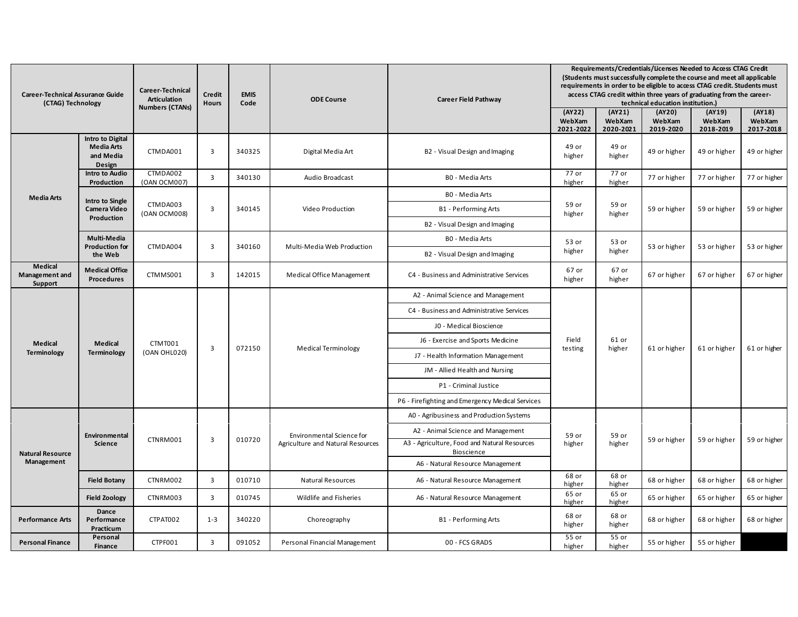| <b>Career-Technical Assurance Guide</b><br>(CTAG) Technology |                                                                     | Career-Technical<br><b>Articulation</b><br><b>Numbers (CTANs)</b> | <b>Credit</b><br><b>Hours</b> | <b>EMIS</b><br>Code | <b>ODE Course</b>                 | <b>Career Field Pathway</b>                                | (AY22)              | (AY21)              | technical education institution.)<br>(AY20) | Requirements/Credentials/Licenses Needed to Access CTAG Credit<br>(Students must successfully complete the course and meet all applicable<br>requirements in order to be eligible to access CTAG credit. Students must<br>access CTAG credit within three years of graduating from the career-<br>(AY19) | (AY18)              |
|--------------------------------------------------------------|---------------------------------------------------------------------|-------------------------------------------------------------------|-------------------------------|---------------------|-----------------------------------|------------------------------------------------------------|---------------------|---------------------|---------------------------------------------|----------------------------------------------------------------------------------------------------------------------------------------------------------------------------------------------------------------------------------------------------------------------------------------------------------|---------------------|
|                                                              |                                                                     |                                                                   |                               |                     |                                   |                                                            | WebXam<br>2021-2022 | WebXam<br>2020-2021 | WebXam<br>2019-2020                         | WebXam<br>2018-2019                                                                                                                                                                                                                                                                                      | WebXam<br>2017-2018 |
|                                                              | <b>Intro to Digital</b><br><b>Media Arts</b><br>and Media<br>Design | CTMDA001                                                          | 3                             | 340325              | Digital Media Art                 | B2 - Visual Design and Imaging                             | 49 or<br>higher     | 49 or<br>higher     | 49 or higher                                | 49 or higher                                                                                                                                                                                                                                                                                             | 49 or higher        |
|                                                              | <b>Intro to Audio</b><br>Production                                 | CTMDA002<br>(OAN OCM007)                                          | $\overline{3}$                | 340130              | Audio Broadcast                   | B0 - Media Arts                                            | 77 or<br>higher     | 77 or<br>higher     | 77 or higher                                | 77 or higher                                                                                                                                                                                                                                                                                             | 77 or higher        |
| <b>Media Arts</b>                                            | Intro to Single                                                     |                                                                   |                               |                     |                                   | B0 - Media Arts                                            |                     |                     |                                             |                                                                                                                                                                                                                                                                                                          |                     |
|                                                              | <b>Camera Video</b><br>Production                                   | CTMDA003<br>(OAN OCM008)                                          | 3                             | 340145              | Video Production                  | <b>B1 - Performing Arts</b>                                | 59 or<br>higher     | 59 or<br>higher     | 59 or higher                                | 59 or higher                                                                                                                                                                                                                                                                                             | 59 or higher        |
|                                                              |                                                                     |                                                                   |                               |                     |                                   | B2 - Visual Design and Imaging                             |                     |                     |                                             |                                                                                                                                                                                                                                                                                                          |                     |
|                                                              | Multi-Media<br><b>Production for</b>                                | CTMDA004                                                          | $\overline{3}$                | 340160              | Multi-Media Web Production        | B0 - Media Arts                                            | 53 or               | 53 or               | 53 or higher                                | 53 or higher                                                                                                                                                                                                                                                                                             | 53 or higher        |
|                                                              | the Web                                                             |                                                                   |                               |                     |                                   | B2 - Visual Design and Imaging                             | higher              | higher              |                                             |                                                                                                                                                                                                                                                                                                          |                     |
| <b>Medical</b><br>Management and<br>Support                  | <b>Medical Office</b><br><b>Procedures</b>                          | CTMMS001                                                          | 3                             | 142015              | Medical Office Management         | C4 - Business and Administrative Services                  | 67 or<br>higher     | 67 or<br>higher     | 67 or higher                                | 67 or higher                                                                                                                                                                                                                                                                                             | 67 or higher        |
|                                                              |                                                                     |                                                                   |                               |                     |                                   | A2 - Animal Science and Management                         |                     |                     |                                             |                                                                                                                                                                                                                                                                                                          |                     |
|                                                              |                                                                     |                                                                   |                               |                     |                                   | C4 - Business and Administrative Services                  |                     |                     |                                             |                                                                                                                                                                                                                                                                                                          |                     |
|                                                              |                                                                     |                                                                   |                               |                     |                                   | J0 - Medical Bioscience                                    |                     |                     |                                             |                                                                                                                                                                                                                                                                                                          |                     |
| <b>Medical</b>                                               | <b>Medical</b>                                                      | CTMT001                                                           | 3                             | 072150              | <b>Medical Terminology</b>        | J6 - Exercise and Sports Medicine                          | Field<br>testing    | 61 or<br>higher     | 61 or higher                                | 61 or higher                                                                                                                                                                                                                                                                                             | 61 or higher        |
| <b>Terminology</b>                                           | <b>Terminology</b>                                                  | (OAN OHL020)                                                      |                               |                     |                                   | J7 - Health Information Management                         |                     |                     |                                             |                                                                                                                                                                                                                                                                                                          |                     |
|                                                              |                                                                     |                                                                   |                               |                     |                                   | JM - Allied Health and Nursing                             |                     |                     |                                             |                                                                                                                                                                                                                                                                                                          |                     |
|                                                              |                                                                     |                                                                   |                               |                     |                                   | P1 - Criminal Justice                                      |                     |                     |                                             |                                                                                                                                                                                                                                                                                                          |                     |
|                                                              |                                                                     |                                                                   |                               |                     |                                   | P6 - Firefighting and Emergency Medical Services           |                     |                     |                                             |                                                                                                                                                                                                                                                                                                          |                     |
|                                                              |                                                                     |                                                                   |                               |                     |                                   | A0 - Agribusiness and Production Systems                   |                     |                     |                                             |                                                                                                                                                                                                                                                                                                          |                     |
|                                                              | Environmental                                                       | CTNRM001                                                          | 3                             | 010720              | Environmental Science for         | A2 - Animal Science and Management                         | 59 or               | 59 or               | 59 or higher                                | 59 or higher                                                                                                                                                                                                                                                                                             | 59 or higher        |
| <b>Natural Resource</b>                                      | Science                                                             |                                                                   |                               |                     | Agriculture and Natural Resources | A3 - Agriculture, Food and Natural Resources<br>Bioscience | higher              | higher              |                                             |                                                                                                                                                                                                                                                                                                          |                     |
| Management                                                   |                                                                     |                                                                   |                               |                     |                                   | A6 - Natural Resource Management                           |                     |                     |                                             |                                                                                                                                                                                                                                                                                                          |                     |
|                                                              | <b>Field Botany</b>                                                 | CTNRM002                                                          | 3                             | 010710              | Natural Resources                 | A6 - Natural Resource Management                           | 68 or<br>higher     | 68 or<br>higher     | 68 or higher                                | 68 or higher                                                                                                                                                                                                                                                                                             | 68 or higher        |
|                                                              | <b>Field Zoology</b>                                                | CTNRM003                                                          | 3                             | 010745              | Wildlife and Fisheries            | A6 - Natural Resource Management                           | 65 or<br>higher     | 65 or<br>higher     | 65 or higher                                | 65 or higher                                                                                                                                                                                                                                                                                             | 65 or higher        |
| <b>Performance Arts</b>                                      | Dance<br>Performance<br>Practicum                                   | CTPAT002                                                          | $1 - 3$                       | 340220              | Choreography                      | B1 - Performing Arts                                       | 68 or<br>higher     | 68 or<br>higher     | 68 or higher                                | 68 or higher                                                                                                                                                                                                                                                                                             | 68 or higher        |
| <b>Personal Finance</b>                                      | Personal<br>Finance                                                 | CTPF001                                                           | $\overline{3}$                | 091052              | Personal Financial Management     | 00 - FCS GRADS                                             | 55 or<br>higher     | 55 or<br>higher     | 55 or higher                                | 55 or higher                                                                                                                                                                                                                                                                                             |                     |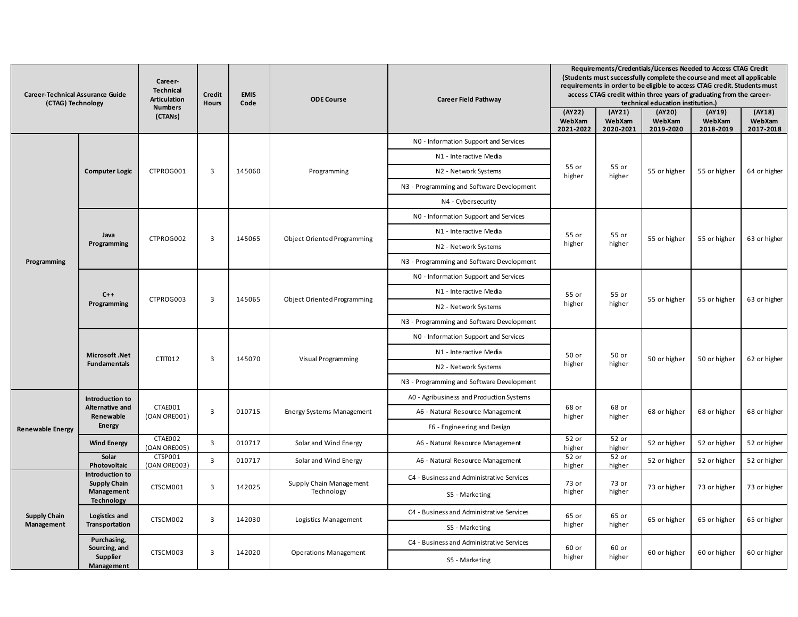| <b>Career-Technical Assurance Guide</b><br>(CTAG) Technology |                                                 | Career-<br><b>Technical</b><br>Articulation<br><b>Numbers</b><br>(CTANs) | <b>Credit</b><br><b>Hours</b> | <b>EMIS</b><br>Code | <b>ODE Course</b>                     | <b>Career Field Pathway</b>               | (AY22)<br>WebXam | (AY21)<br>WebXam | Requirements/Credentials/Licenses Needed to Access CTAG Credit<br>(Students must successfully complete the course and meet all applicable<br>requirements in order to be eligible to access CTAG credit. Students must<br>access CTAG credit within three years of graduating from the career-<br>technical education institution.)<br>(AY20)<br>WebXam | (XY19)<br>WebXam | (AY18)<br>WebXam |
|--------------------------------------------------------------|-------------------------------------------------|--------------------------------------------------------------------------|-------------------------------|---------------------|---------------------------------------|-------------------------------------------|------------------|------------------|---------------------------------------------------------------------------------------------------------------------------------------------------------------------------------------------------------------------------------------------------------------------------------------------------------------------------------------------------------|------------------|------------------|
|                                                              |                                                 |                                                                          |                               |                     |                                       |                                           | 2021-2022        | 2020-2021        | 2019-2020                                                                                                                                                                                                                                                                                                                                               | 2018-2019        | 2017-2018        |
|                                                              |                                                 |                                                                          |                               |                     |                                       | NO - Information Support and Services     |                  |                  |                                                                                                                                                                                                                                                                                                                                                         |                  |                  |
|                                                              |                                                 |                                                                          |                               |                     |                                       | N1 - Interactive Media                    | 55 or            | 55 or            |                                                                                                                                                                                                                                                                                                                                                         |                  |                  |
|                                                              | <b>Computer Logic</b>                           | CTPROG001                                                                | 3                             | 145060              | Programming                           | N2 - Network Systems                      | higher           | higher           | 55 or higher                                                                                                                                                                                                                                                                                                                                            | 55 or higher     | 64 or higher     |
|                                                              |                                                 |                                                                          |                               |                     |                                       | N3 - Programming and Software Development |                  |                  |                                                                                                                                                                                                                                                                                                                                                         |                  |                  |
|                                                              |                                                 |                                                                          |                               |                     |                                       | N4 - Cybersecurity                        |                  |                  |                                                                                                                                                                                                                                                                                                                                                         |                  |                  |
|                                                              |                                                 |                                                                          |                               |                     |                                       | NO - Information Support and Services     |                  |                  |                                                                                                                                                                                                                                                                                                                                                         |                  |                  |
|                                                              | Java                                            | CTPROG002                                                                | 3                             | 145065              | <b>Object Oriented Programming</b>    | N1 - Interactive Media                    | 55 or            | 55 or            | 55 or higher                                                                                                                                                                                                                                                                                                                                            | 55 or higher     | 63 or higher     |
|                                                              | Programming                                     |                                                                          |                               |                     |                                       | N2 - Network Systems                      | higher           | higher           |                                                                                                                                                                                                                                                                                                                                                         |                  |                  |
| Programming                                                  |                                                 |                                                                          |                               |                     |                                       | N3 - Programming and Software Development |                  |                  |                                                                                                                                                                                                                                                                                                                                                         |                  |                  |
|                                                              |                                                 |                                                                          |                               |                     |                                       | NO - Information Support and Services     |                  |                  |                                                                                                                                                                                                                                                                                                                                                         |                  |                  |
|                                                              | $C++$                                           |                                                                          | 3                             |                     | <b>Object Oriented Programming</b>    | N1 - Interactive Media                    | 55 or            | 55 or            |                                                                                                                                                                                                                                                                                                                                                         |                  | 63 or higher     |
|                                                              | Programming                                     | CTPROG003                                                                |                               | 145065              |                                       | N2 - Network Systems                      | higher           | higher           | 55 or higher                                                                                                                                                                                                                                                                                                                                            | 55 or higher     |                  |
|                                                              |                                                 |                                                                          |                               |                     |                                       | N3 - Programming and Software Development |                  |                  |                                                                                                                                                                                                                                                                                                                                                         |                  |                  |
|                                                              |                                                 |                                                                          |                               |                     |                                       | NO - Information Support and Services     |                  |                  |                                                                                                                                                                                                                                                                                                                                                         |                  |                  |
|                                                              | <b>Microsoft .Net</b>                           |                                                                          |                               |                     |                                       | N1 - Interactive Media                    | 50 or            | 50 or            |                                                                                                                                                                                                                                                                                                                                                         |                  |                  |
|                                                              | Fundamentals                                    | CTIT012                                                                  | $\overline{3}$                | 145070              | Visual Programming                    | N2 - Network Systems                      | higher           | higher           | 50 or higher                                                                                                                                                                                                                                                                                                                                            | 50 or higher     | 62 or higher     |
|                                                              |                                                 |                                                                          |                               |                     |                                       | N3 - Programming and Software Development |                  |                  |                                                                                                                                                                                                                                                                                                                                                         |                  |                  |
|                                                              | Introduction to                                 |                                                                          |                               |                     |                                       | A0 - Agribusiness and Production Systems  |                  |                  |                                                                                                                                                                                                                                                                                                                                                         |                  |                  |
|                                                              | Alternative and<br>Renewable                    | CTAE001<br>(OAN ORE001)                                                  | 3                             | 010715              | Energy Systems Management             | A6 - Natural Resource Management          | 68 or<br>higher  | 68 or<br>higher  | 68 or higher                                                                                                                                                                                                                                                                                                                                            | 68 or higher     | 68 or higher     |
| <b>Renewable Energy</b>                                      | <b>Energy</b>                                   |                                                                          |                               |                     |                                       | F6 - Engineering and Design               |                  |                  |                                                                                                                                                                                                                                                                                                                                                         |                  |                  |
|                                                              | <b>Wind Energy</b>                              | CTAE002<br>(OAN ORE005)                                                  | $\overline{3}$                | 010717              | Solar and Wind Energy                 | A6 - Natural Resource Management          | 52 or<br>higher  | 52 or<br>higher  | 52 or higher                                                                                                                                                                                                                                                                                                                                            | 52 or higher     | 52 or higher     |
|                                                              | Solar<br>Photovoltaic                           | CTSP001<br>(OAN ORE003)                                                  | $\overline{3}$                | 010717              | Solar and Wind Energy                 | A6 - Natural Resource Management          | 52 or<br>higher  | 52 or<br>higher  | 52 or higher                                                                                                                                                                                                                                                                                                                                            | 52 or higher     | 52 or higher     |
|                                                              | Introduction to                                 |                                                                          |                               |                     |                                       | C4 - Business and Administrative Services |                  |                  |                                                                                                                                                                                                                                                                                                                                                         |                  |                  |
|                                                              | <b>Supply Chain</b><br>Management<br>Technology | CTSCM001                                                                 | $\overline{3}$                | 142025              | Supply Chain Management<br>Technology | S5 - Marketing                            | 73 or<br>higher  | 73 or<br>higher  | 73 or higher                                                                                                                                                                                                                                                                                                                                            | 73 or higher     | 73 or higher     |
| <b>Supply Chain</b>                                          | Logistics and                                   | CTSCM002                                                                 | $\overline{3}$                | 142030              | Logistics Management                  | C4 - Business and Administrative Services | 65 or            | 65 or            | 65 or higher                                                                                                                                                                                                                                                                                                                                            | 65 or higher     | 65 or higher     |
| Management                                                   | Transportation                                  |                                                                          |                               |                     |                                       | S5 - Marketing                            | higher           | higher           |                                                                                                                                                                                                                                                                                                                                                         |                  |                  |
|                                                              | Purchasing,<br>Sourcing, and                    |                                                                          |                               |                     |                                       | C4 - Business and Administrative Services | 60 or            | 60 or            |                                                                                                                                                                                                                                                                                                                                                         |                  |                  |
|                                                              | Supplier<br><b>Management</b>                   | CTSCM003                                                                 | 3                             | 142020              | <b>Operations Management</b>          | S5 - Marketing                            | higher           | higher           | 60 or higher                                                                                                                                                                                                                                                                                                                                            | 60 or higher     | 60 or higher     |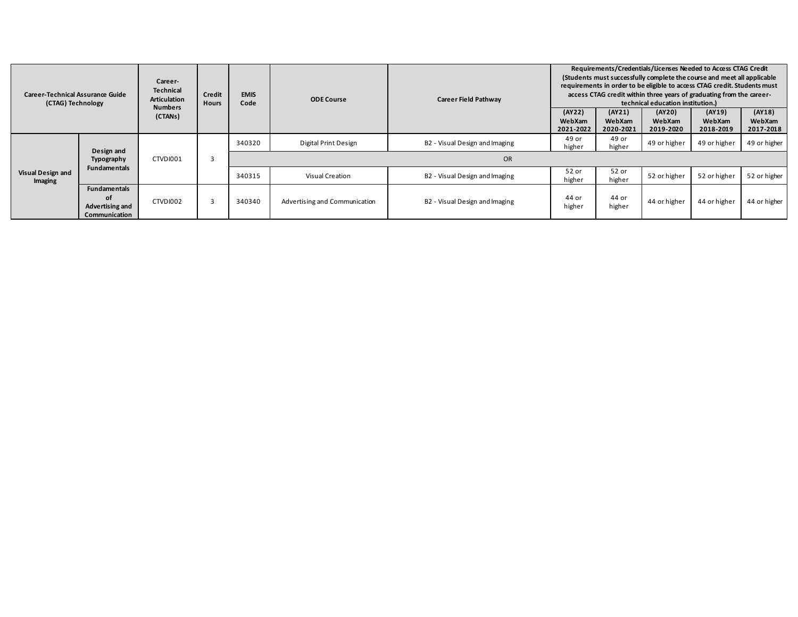| <b>Career-Technical Assurance Guide</b><br>(CTAG) Technology |                                                               | Career-<br><b>Technical</b><br>Articulation<br><b>Numbers</b> | Credit<br><b>Hours</b> | <b>EMIS</b><br><b>ODE Course</b><br>Code | Career Field Pathway          | Requirements/Credentials/Licenses Needed to Access CTAG Credit<br>(Students must successfully complete the course and meet all applicable<br>requirements in order to be eligible to access CTAG credit. Students must<br>access CTAG credit within three years of graduating from the career-<br>technical education institution.) |                               |                               |                               |                               |                               |
|--------------------------------------------------------------|---------------------------------------------------------------|---------------------------------------------------------------|------------------------|------------------------------------------|-------------------------------|-------------------------------------------------------------------------------------------------------------------------------------------------------------------------------------------------------------------------------------------------------------------------------------------------------------------------------------|-------------------------------|-------------------------------|-------------------------------|-------------------------------|-------------------------------|
|                                                              |                                                               | (CTANs)                                                       |                        |                                          |                               |                                                                                                                                                                                                                                                                                                                                     | (AY22)<br>WebXam<br>2021-2022 | (AY21)<br>WebXam<br>2020-2021 | (AY20)<br>WebXam<br>2019-2020 | (AY19)<br>WebXam<br>2018-2019 | (AY18)<br>WebXam<br>2017-2018 |
|                                                              | Design and                                                    |                                                               |                        | 340320                                   | Digital Print Design          | B2 - Visual Design and Imaging                                                                                                                                                                                                                                                                                                      | 49 or<br>higher               | 49 or<br>higher               | 49 or higher                  | 49 or higher                  | 49 or higher                  |
|                                                              | Typography                                                    | CTVDI001                                                      |                        |                                          |                               | <b>OR</b>                                                                                                                                                                                                                                                                                                                           |                               |                               |                               |                               |                               |
| <b>Visual Design and</b><br>Imaging                          | <b>Fundamentals</b>                                           |                                                               |                        | 340315                                   | Visual Creation               | B2 - Visual Design and Imaging                                                                                                                                                                                                                                                                                                      | 52 or<br>higher               | 52 or<br>higher               | 52 or higher                  | 52 or higher                  | 52 or higher                  |
|                                                              | <b>Fundamentals</b><br>οf<br>Advertising and<br>Communication | <b>CTVDI002</b>                                               |                        | 340340                                   | Advertising and Communication | B2 - Visual Design and Imaging                                                                                                                                                                                                                                                                                                      | 44 or<br>higher               | 44 or<br>higher               | 44 or higher                  | 44 or higher                  | 44 or higher                  |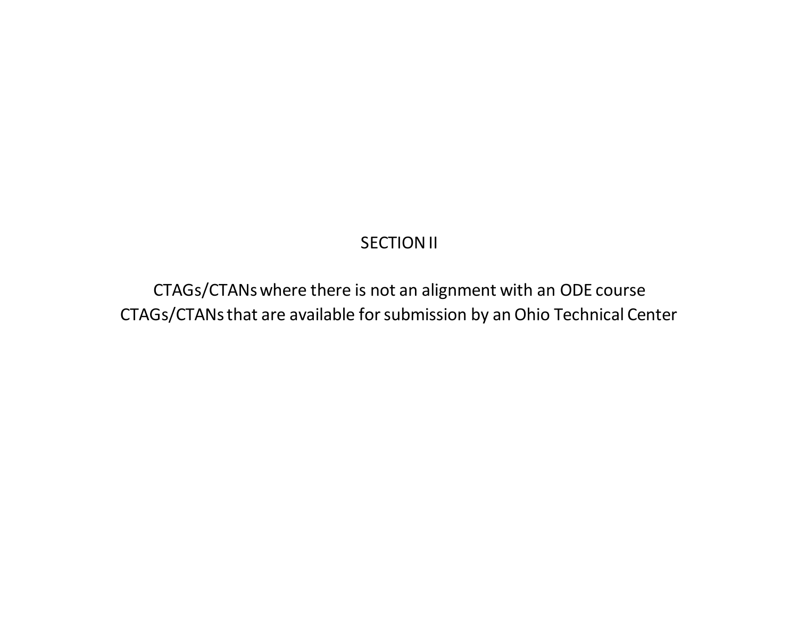## SECTION II

CTAGs/CTANs where there is not an alignment with an ODE course CTAGs/CTANs that are available for submission by an Ohio Technical Center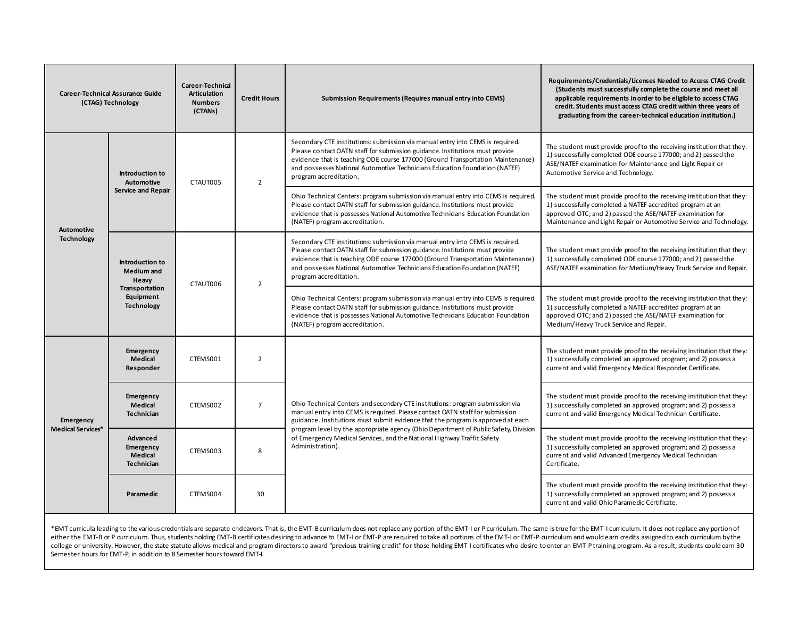|                                                                                   | <b>Career-Technical Assurance Guide</b><br>(CTAG) Technology | <b>Career-Technical</b><br><b>Articulation</b><br><b>Numbers</b><br>(CTANs) | <b>Credit Hours</b>                                                                                                                                                               | Submission Requirements (Requires manual entry into CEMS)                                                                                                                                                                                                                                                                                                 | Requirements/Credentials/Licenses Needed to Access CTAG Credit<br>(Students must successfully complete the course and meet all<br>applicable requirements in order to be eligible to access CTAG<br>credit. Students must access CTAG credit within three years of<br>graduating from the career-technical education institution.) |
|-----------------------------------------------------------------------------------|--------------------------------------------------------------|-----------------------------------------------------------------------------|-----------------------------------------------------------------------------------------------------------------------------------------------------------------------------------|-----------------------------------------------------------------------------------------------------------------------------------------------------------------------------------------------------------------------------------------------------------------------------------------------------------------------------------------------------------|------------------------------------------------------------------------------------------------------------------------------------------------------------------------------------------------------------------------------------------------------------------------------------------------------------------------------------|
|                                                                                   | Introduction to<br>Automotive                                | CTAUT005                                                                    | $\overline{2}$                                                                                                                                                                    | Secondary CTE institutions: submission via manual entry into CEMS is required.<br>Please contact OATN staff for submission guidance. Institutions must provide<br>evidence that is teaching ODE course 177000 (Ground Transportation Maintenance)<br>and possesses National Automotive Technicians Education Foundation (NATEF)<br>program accreditation. | The student must provide proof to the receiving institution that they:<br>1) successfully completed ODE course 177000; and 2) passed the<br>ASE/NATEF examination for Maintenance and Light Repair or<br>Automotive Service and Technology.                                                                                        |
| Automotive                                                                        | Service and Repair                                           |                                                                             |                                                                                                                                                                                   | Ohio Technical Centers: program submission via manual entry into CEMS is required.<br>Please contact OATN staff for submission guidance. Institutions must provide<br>evidence that is possesses National Automotive Technicians Education Foundation<br>(NATEF) program accreditation.                                                                   | The student must provide proof to the receiving institution that they:<br>1) successfully completed a NATEF accredited program at an<br>approved OTC; and 2) passed the ASE/NATEF examination for<br>Maintenance and Light Repair or Automotive Service and Technology.                                                            |
| <b>Technology</b>                                                                 | Introduction to<br><b>Medium</b> and<br>Heavy                | CTAUT006                                                                    | $\overline{2}$                                                                                                                                                                    | Secondary CTE institutions: submission via manual entry into CEMS is required.<br>Please contact OATN staff for submission guidance. Institutions must provide<br>evidence that is teaching ODE course 177000 (Ground Transportation Maintenance)<br>and possesses National Automotive Technicians Education Foundation (NATEF)<br>program accreditation. | The student must provide proof to the receiving institution that they:<br>1) successfully completed ODE course 177000; and 2) passed the<br>ASE/NATEF examination for Medium/Heavy Truck Service and Repair.                                                                                                                       |
|                                                                                   | Transportation<br>Equipment<br><b>Technology</b>             |                                                                             |                                                                                                                                                                                   | Ohio Technical Centers: program submission via manual entry into CEMS is required.<br>Please contact OATN staff for submission guidance. Institutions must provide<br>evidence that is possesses National Automotive Technicians Education Foundation<br>(NATEF) program accreditation.                                                                   | The student must provide proof to the receiving institution that they:<br>1) successfully completed a NATEF accredited program at an<br>approved OTC; and 2) passed the ASE/NATEF examination for<br>Medium/Heavy Truck Service and Repair.                                                                                        |
|                                                                                   | Emergency<br>Medical<br>Responder                            | CTEMS001                                                                    | $\overline{2}$                                                                                                                                                                    |                                                                                                                                                                                                                                                                                                                                                           | The student must provide proof to the receiving institution that they:<br>1) successfully completed an approved program; and 2) possess a<br>current and valid Emergency Medical Responder Certificate.                                                                                                                            |
| Emergency                                                                         | Emergency<br><b>Medical</b><br>Technician                    |                                                                             | $\overline{7}$                                                                                                                                                                    | Ohio Technical Centers and secondary CTE institutions: program submission via<br>manual entry into CEMS is required. Please contact OATN staff for submission<br>guidance. Institutions must submit evidence that the program is approved at each                                                                                                         | The student must provide proof to the receiving institution that they:<br>1) successfully completed an approved program; and 2) possess a<br>current and valid Emergency Medical Technician Certificate.                                                                                                                           |
| <b>Medical Services*</b><br>Advanced<br>Emergency<br><b>Medical</b><br>Technician | CTEMS003                                                     | 8                                                                           | program level by the appropriate agency (Ohio Department of Public Safety, Division<br>of Emergency Medical Services, and the National Highway Traffic Safety<br>Administration). | The student must provide proof to the receiving institution that they:<br>1) successfully completed an approved program; and 2) possess a<br>current and valid Advanced Emergency Medical Technician<br>Certificate.                                                                                                                                      |                                                                                                                                                                                                                                                                                                                                    |
| Paramedic                                                                         |                                                              | CTEMS004                                                                    | 30                                                                                                                                                                                |                                                                                                                                                                                                                                                                                                                                                           | The student must provide proof to the receiving institution that they:<br>1) successfully completed an approved program; and 2) possess a<br>current and valid Ohio Paramedic Certificate.                                                                                                                                         |

\*EMT curricula leading to the various credentials are separate endeavors. That is, the EMT-B curriculum does not replace any portion of the EMT-I or P curriculum. The same is true for the EMT-I curriculum. It does not repl either the EMT-B or P arriculum. Thus, students holding EMT-B certificates desiring to advance to EMT-I or EMT-P are required to take all portions of the EMT-I or EMT-P arriculum and would earn credits assigned to each cur college or university. However, the state statute allows medical and program directors to award "previous training credit" for those holding EMT-I certificates who desire to enter an EMT-P training program. As a result, st Semester hours for EMT-P, in addition to 8 Semester hours toward EMT-I.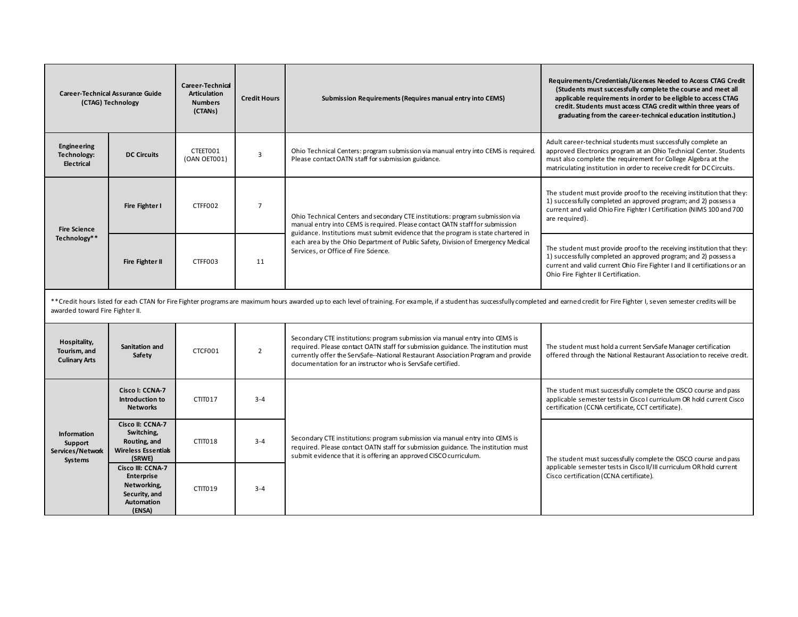|                                                                                                | <b>Career-Technical Assurance Guide</b><br>(CTAG) Technology                           | Career-Technical<br><b>Articulation</b><br><b>Numbers</b><br>(CTANs) | <b>Credit Hours</b> | Submission Requirements (Requires manual entry into CEMS)                                                                                                                                                                                                                                                            | Requirements/Credentials/Licenses Needed to Access CTAG Credit<br>(Students must successfully complete the course and meet all<br>applicable requirements in order to be eligible to access CTAG<br>credit. Students must access CTAG credit within three years of<br>graduating from the career-technical education institution.) |
|------------------------------------------------------------------------------------------------|----------------------------------------------------------------------------------------|----------------------------------------------------------------------|---------------------|----------------------------------------------------------------------------------------------------------------------------------------------------------------------------------------------------------------------------------------------------------------------------------------------------------------------|------------------------------------------------------------------------------------------------------------------------------------------------------------------------------------------------------------------------------------------------------------------------------------------------------------------------------------|
| Engineering<br><b>Technology:</b><br><b>Electrical</b>                                         | <b>DC Circuits</b>                                                                     | CTEET001<br>(OAN OET001)                                             | 3                   | Ohio Technical Centers: program submission via manual entry into CEMS is required.<br>Please contact OATN staff for submission guidance.                                                                                                                                                                             | Adult career-technical students must successfully complete an<br>approved Electronics program at an Ohio Technical Center. Students<br>must also complete the requirement for College Algebra at the<br>matriculating institution in order to receive credit for DC Circuits.                                                      |
| <b>Fire Science</b>                                                                            | <b>Fire Fighter I</b>                                                                  | CTFF002                                                              | $\overline{7}$      | Ohio Technical Centers and secondary CTE institutions: program submission via<br>manual entry into CEMS is required. Please contact OATN staff for submission<br>guidance. Institutions must submit evidence that the program is state chartered in                                                                  | The student must provide proof to the receiving institution that they:<br>1) successfully completed an approved program; and 2) possess a<br>current and valid Ohio Fire Fighter I Certification (NIMS 100 and 700<br>are required).                                                                                               |
| Technology**                                                                                   | <b>Fire Fighter II</b>                                                                 | CTFF003                                                              | 11                  | each area by the Ohio Department of Public Safety, Division of Emergency Medical<br>Services, or Office of Fire Science.                                                                                                                                                                                             | The student must provide proof to the receiving institution that they:<br>1) successfully completed an approved program; and 2) possess a<br>current and valid current Ohio Fire Fighter I and II certifications or an<br>Ohio Fire Fighter II Certification.                                                                      |
|                                                                                                | awarded toward Fire Fighter II.                                                        |                                                                      |                     | **Credit hours listed for each CTAN for Fire Fighter programs are maximum hours awarded up to each level of training. For example, if a student has successfully completed and earned credit for Fire Fighter I, seven semeste                                                                                       |                                                                                                                                                                                                                                                                                                                                    |
| Hospitality,<br>Tourism, and<br><b>Culinary Arts</b>                                           | Sanitation and<br>Safety                                                               | CTCF001                                                              | $\overline{2}$      | Secondary CTE institutions: program submission via manual entry into CEMS is<br>required. Please contact OATN staff for submission guidance. The institution must<br>currently offer the ServSafe--National Restaurant Association Program and provide<br>documentation for an instructor who is ServSafe certified. | The student must hold a current ServSafe Manager certification<br>offered through the National Restaurant Association to receive credit.                                                                                                                                                                                           |
|                                                                                                | Cisco I: CCNA-7<br>Introduction to<br><b>Networks</b>                                  | CTIT017                                                              | $3 - 4$             |                                                                                                                                                                                                                                                                                                                      | The student must successfully complete the CISCO course and pass<br>applicable semester tests in Cisco I curriculum OR hold current Cisco<br>certification (CCNA certificate, CCT certificate).                                                                                                                                    |
| Information<br>Support<br>Services/Network<br>Systems                                          | Cisco II: CCNA-7<br>Switching,<br>Routing, and<br><b>Wireless Essentials</b><br>(SRWE) | CTIT018                                                              | $3 - 4$             | Secondary CTE institutions: program submission via manual entry into CEMS is<br>required. Please contact OATN staff for submission guidance. The institution must<br>submit evidence that it is offering an approved CISCO curriculum.                                                                               | The student must successfully complete the CISCO course and pass                                                                                                                                                                                                                                                                   |
| Cisco III: CCNA-7<br><b>Enterprise</b><br>Networking,<br>Security, and<br>Automation<br>(ENSA) | CTIT019                                                                                | $3 - 4$                                                              |                     | applicable semester tests in Gsco II/III curriculum OR hold current<br>Cisco certification (CCNA certificate).                                                                                                                                                                                                       |                                                                                                                                                                                                                                                                                                                                    |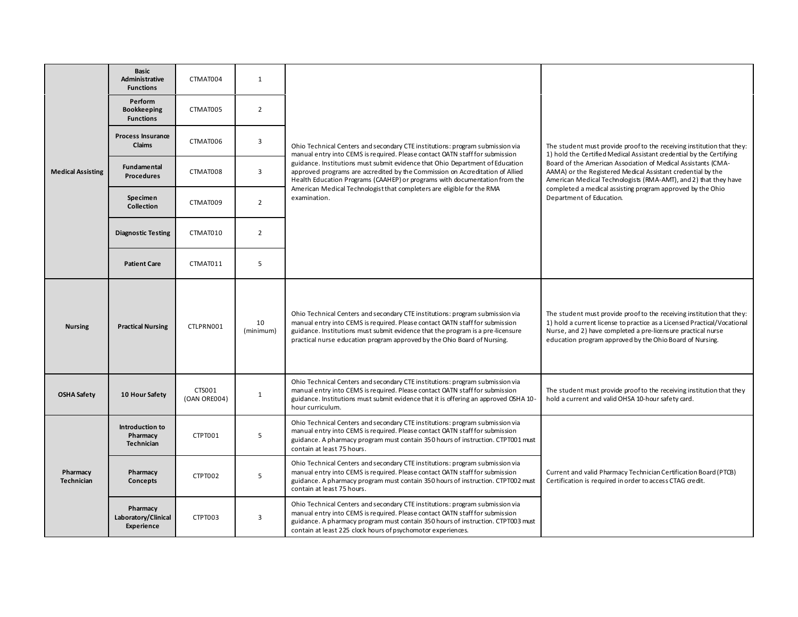|                               | <b>Basic</b><br>Administrative<br><b>Functions</b> | CTMAT004               | 1               |                                                                                                                                                                                                                                                                                                                              |                                                                                                                                                                                                                                                                                |
|-------------------------------|----------------------------------------------------|------------------------|-----------------|------------------------------------------------------------------------------------------------------------------------------------------------------------------------------------------------------------------------------------------------------------------------------------------------------------------------------|--------------------------------------------------------------------------------------------------------------------------------------------------------------------------------------------------------------------------------------------------------------------------------|
|                               | Perform<br><b>Bookkeeping</b><br><b>Functions</b>  | CTMAT005               | $\overline{2}$  |                                                                                                                                                                                                                                                                                                                              |                                                                                                                                                                                                                                                                                |
|                               | Process Insurance<br>Claims                        | CTMAT006               | 3               | Ohio Technical Centers and secondary CTE institutions: program submission via<br>manual entry into CEMS is required. Please contact OATN staff for submission                                                                                                                                                                | The student must provide proof to the receiving institution that they:<br>1) hold the Certified Medical Assistant credential by the Certifying                                                                                                                                 |
| <b>Medical Assisting</b>      | <b>Fundamental</b><br><b>Procedures</b>            | CTMAT008               | 3               | guidance. Institutions must submit evidence that Ohio Department of Education<br>approved programs are accredited by the Commission on Accreditation of Allied<br>Health Education Programs (CAAHEP) or programs with documentation from the                                                                                 | Board of the American Association of Medical Assistants (CMA-<br>AAMA) or the Registered Medical Assistant credential by the<br>American Medical Technologists (RMA-AMT), and 2) that they have                                                                                |
|                               | Specimen<br><b>Collection</b>                      | CTMAT009               | $\overline{2}$  | American Medical Technologist that completers are eligible for the RMA<br>examination.                                                                                                                                                                                                                                       | completed a medical assisting program approved by the Ohio<br>Department of Education.                                                                                                                                                                                         |
|                               | <b>Diagnostic Testing</b>                          | CTMAT010               | $\overline{2}$  |                                                                                                                                                                                                                                                                                                                              |                                                                                                                                                                                                                                                                                |
|                               | <b>Patient Care</b>                                | CTMAT011               | 5               |                                                                                                                                                                                                                                                                                                                              |                                                                                                                                                                                                                                                                                |
| <b>Nursing</b>                | <b>Practical Nursing</b>                           | CTLPRN001              | 10<br>(minimum) | Ohio Technical Centers and secondary CTE institutions: program submission via<br>manual entry into CEMS is required. Please contact OATN staff for submission<br>guidance. Institutions must submit evidence that the program is a pre-licensure<br>practical nurse education program approved by the Ohio Board of Nursing. | The student must provide proof to the receiving institution that they:<br>1) hold a current license to practice as a Licensed Practical/Vocational<br>Nurse, and 2) have completed a pre-licensure practical nurse<br>education program approved by the Ohio Board of Nursing. |
| <b>OSHA Safety</b>            | 10 Hour Safety                                     | CTS001<br>(OAN ORE004) | $\mathbf{1}$    | Ohio Technical Centers and secondary CTE institutions: program submission via<br>manual entry into CEMS is required. Please contact OATN staff for submission<br>guidance. Institutions must submit evidence that it is offering an approved OSHA 10-<br>hour curriculum.                                                    | The student must provide proof to the receiving institution that they<br>hold a current and valid OHSA 10-hour safety card.                                                                                                                                                    |
|                               | Introduction to<br>Pharmacy<br>Technician          | CTPT001                | 5               | Ohio Technical Centers and secondary CTE institutions: program submission via<br>manual entry into CEMS is required. Please contact OATN staff for submission<br>guidance. A pharmacy program must contain 350 hours of instruction. CTPT001 must<br>contain at least 75 hours.                                              |                                                                                                                                                                                                                                                                                |
| Pharmacy<br><b>Technician</b> | Pharmacy<br>Concepts                               | CTPT002                | 5               | Ohio Technical Centers and secondary CTE institutions: program submission via<br>manual entry into CEMS is required. Please contact OATN staff for submission<br>guidance. A pharmacy program must contain 350 hours of instruction. CTPT002 must<br>contain at least 75 hours.                                              | Current and valid Pharmacy Technician Certification Board (PTCB)<br>Certification is required in order to access CTAG credit.                                                                                                                                                  |
|                               | Pharmacy<br>Laboratory/Clinical<br>Experience      | CTPT003                | $\overline{3}$  | Ohio Technical Centers and secondary CTE institutions: program submission via<br>manual entry into CEMS is required. Please contact OATN staff for submission<br>guidance. A pharmacy program must contain 350 hours of instruction. CTPT003 must<br>contain at least 225 clock hours of psychomotor experiences.            |                                                                                                                                                                                                                                                                                |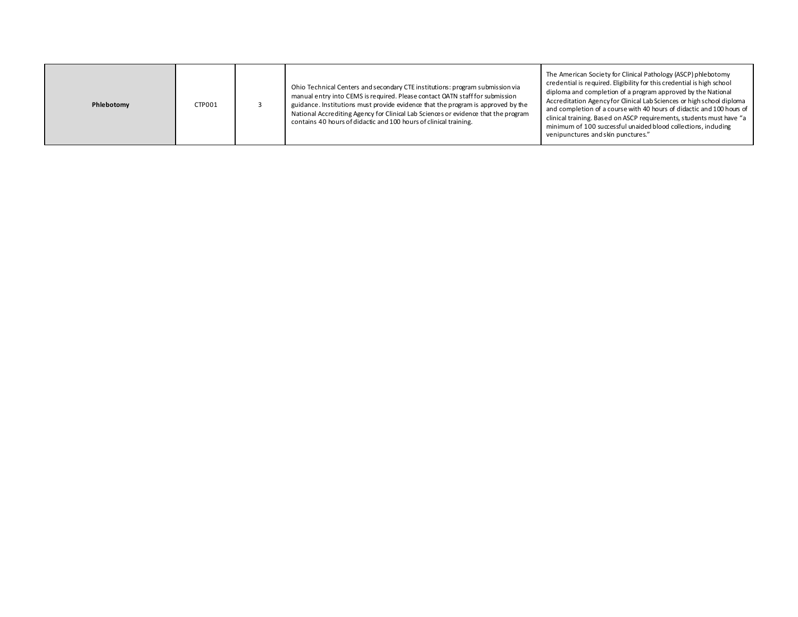| Phlebotomy | CTP001 |  | Ohio Technical Centers and secondary CTE institutions: program submission via<br>manual entry into CEMS is required. Please contact OATN staff for submission<br>guidance. Institutions must provide evidence that the program is approved by the<br>National Accrediting Agency for Clinical Lab Sciences or evidence that the program<br>contains 40 hours of didactic and 100 hours of clinical training. | The American Society for Clinical Pathology (ASCP) phlebotomy<br>credential is required. Eligibility for this credential is high school<br>diploma and completion of a program approved by the National<br>Accreditation Agency for Clinical Lab Sciences or high school diploma<br>and completion of a course with 40 hours of didactic and 100 hours of<br>clinical training. Based on ASCP requirements, students must have "a<br>minimum of 100 successful unaided blood collections, induding<br>venipunctures and skin punctures." |
|------------|--------|--|--------------------------------------------------------------------------------------------------------------------------------------------------------------------------------------------------------------------------------------------------------------------------------------------------------------------------------------------------------------------------------------------------------------|------------------------------------------------------------------------------------------------------------------------------------------------------------------------------------------------------------------------------------------------------------------------------------------------------------------------------------------------------------------------------------------------------------------------------------------------------------------------------------------------------------------------------------------|
|------------|--------|--|--------------------------------------------------------------------------------------------------------------------------------------------------------------------------------------------------------------------------------------------------------------------------------------------------------------------------------------------------------------------------------------------------------------|------------------------------------------------------------------------------------------------------------------------------------------------------------------------------------------------------------------------------------------------------------------------------------------------------------------------------------------------------------------------------------------------------------------------------------------------------------------------------------------------------------------------------------------|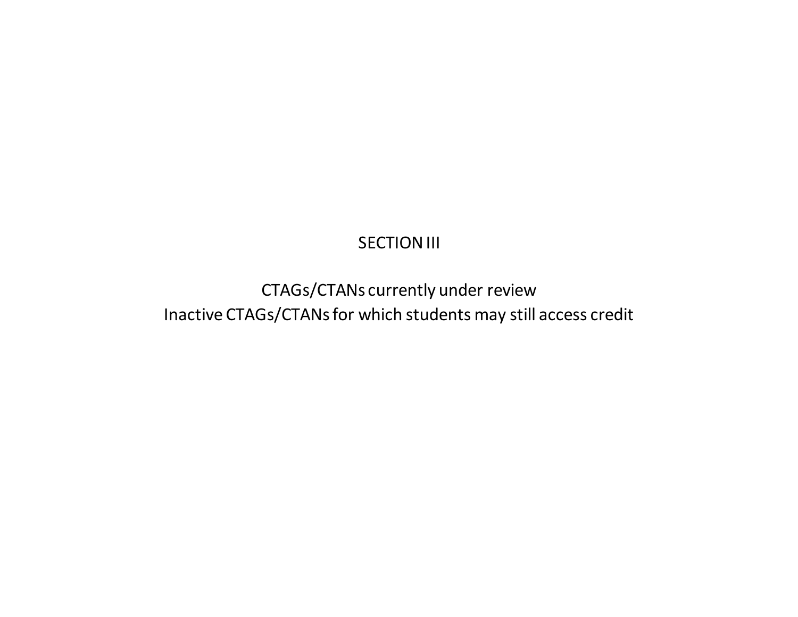## SECTION III

CTAGs/CTANs currently under review Inactive CTAGs/CTANs for which students may still access credit